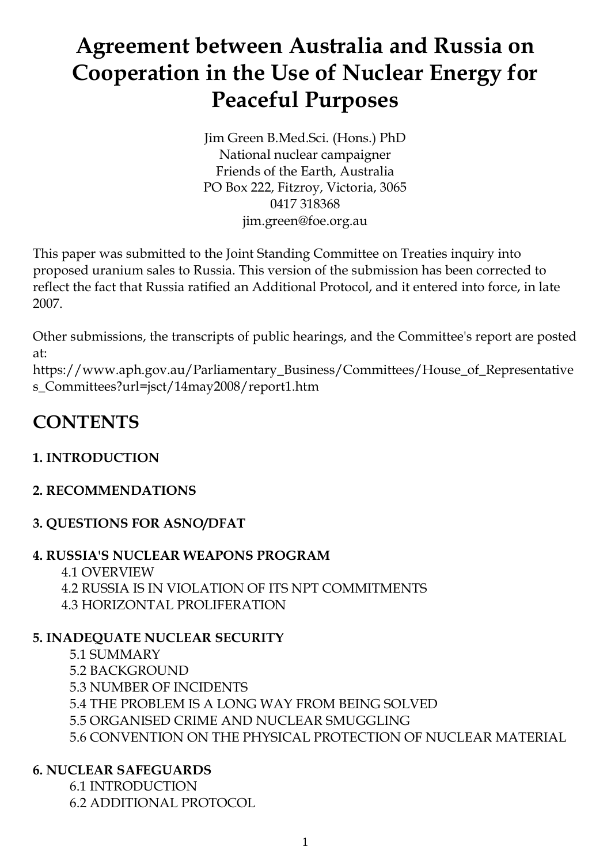# **Agreement between Australia and Russia on Cooperation in the Use of Nuclear Energy for Peaceful Purposes**

Jim Green B.Med.Sci. (Hons.) PhD National nuclear campaigner Friends of the Earth, Australia PO Box 222, Fitzroy, Victoria, 3065 0417 318368 jim.green@foe.org.au

This paper was submitted to the Joint Standing Committee on Treaties inquiry into proposed uranium sales to Russia. This version of the submission has been corrected to reflect the fact that Russia ratified an Additional Protocol, and it entered into force, in late 2007.

Other submissions, the transcripts of public hearings, and the Committee's report are posted at:

https://www.aph.gov.au/Parliamentary\_Business/Committees/House\_of\_Representative s\_Committees?url=jsct/14may2008/report1.htm

# **CONTENTS**

### **1. INTRODUCTION**

#### **2. RECOMMENDATIONS**

#### **3. QUESTIONS FOR ASNO/DFAT**

#### **4. RUSSIA'S NUCLEAR WEAPONS PROGRAM** 4.1 OVERVIEW 4.2 RUSSIA IS IN VIOLATION OF ITS NPT COMMITMENTS

4.3 HORIZONTAL PROLIFERATION

## **5. INADEQUATE NUCLEAR SECURITY**

- 5.1 SUMMARY
- 5.2 BACKGROUND
- 5.3 NUMBER OF INCIDENTS
- 5.4 THE PROBLEM IS A LONG WAY FROM BEING SOLVED
- 5.5 ORGANISED CRIME AND NUCLEAR SMUGGLING
- 5.6 CONVENTION ON THE PHYSICAL PROTECTION OF NUCLEAR MATERIAL

## **6. NUCLEAR SAFEGUARDS**

6.1 INTRODUCTION 6.2 ADDITIONAL PROTOCOL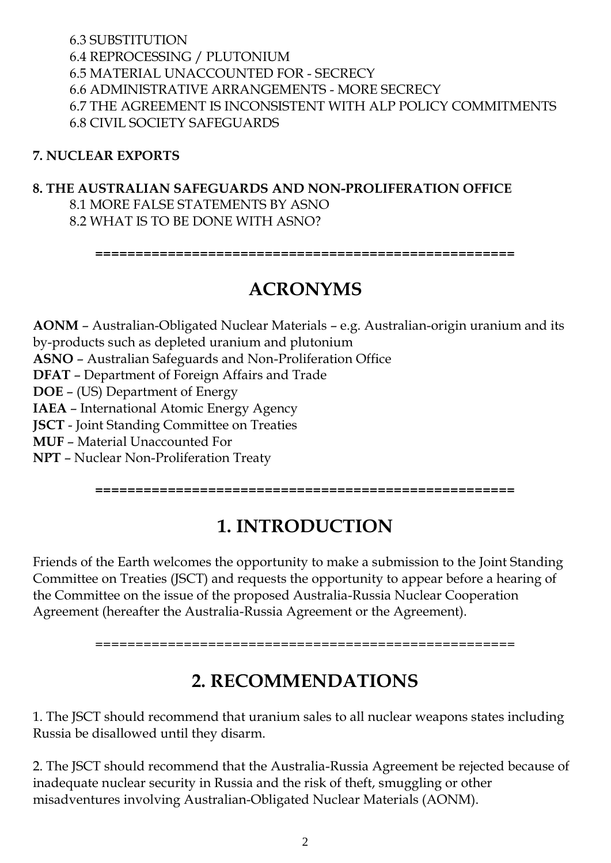#### 6.3 SUBSTITUTION 6.4 REPROCESSING / PLUTONIUM 6.5 MATERIAL UNACCOUNTED FOR - SECRECY 6.6 ADMINISTRATIVE ARRANGEMENTS - MORE SECRECY 6.7 THE AGREEMENT IS INCONSISTENT WITH ALP POLICY COMMITMENTS 6.8 CIVIL SOCIETY SAFEGUARDS

#### **7. NUCLEAR EXPORTS**

#### **8. THE AUSTRALIAN SAFEGUARDS AND NON-PROLIFERATION OFFICE** 8.1 MORE FALSE STATEMENTS BY ASNO 8.2 WHAT IS TO BE DONE WITH ASNO?

**====================================================**

## **ACRONYMS**

**AONM** – Australian-Obligated Nuclear Materials – e.g. Australian-origin uranium and its by-products such as depleted uranium and plutonium **ASNO** – Australian Safeguards and Non-Proliferation Office **DFAT** – Department of Foreign Affairs and Trade **DOE** – (US) Department of Energy **IAEA** – International Atomic Energy Agency **JSCT** - Joint Standing Committee on Treaties **MUF** – Material Unaccounted For **NPT** – Nuclear Non-Proliferation Treaty

**====================================================**

# **1. INTRODUCTION**

Friends of the Earth welcomes the opportunity to make a submission to the Joint Standing Committee on Treaties (JSCT) and requests the opportunity to appear before a hearing of the Committee on the issue of the proposed Australia-Russia Nuclear Cooperation Agreement (hereafter the Australia-Russia Agreement or the Agreement).

====================================================

## **2. RECOMMENDATIONS**

1. The JSCT should recommend that uranium sales to all nuclear weapons states including Russia be disallowed until they disarm.

2. The JSCT should recommend that the Australia-Russia Agreement be rejected because of inadequate nuclear security in Russia and the risk of theft, smuggling or other misadventures involving Australian-Obligated Nuclear Materials (AONM).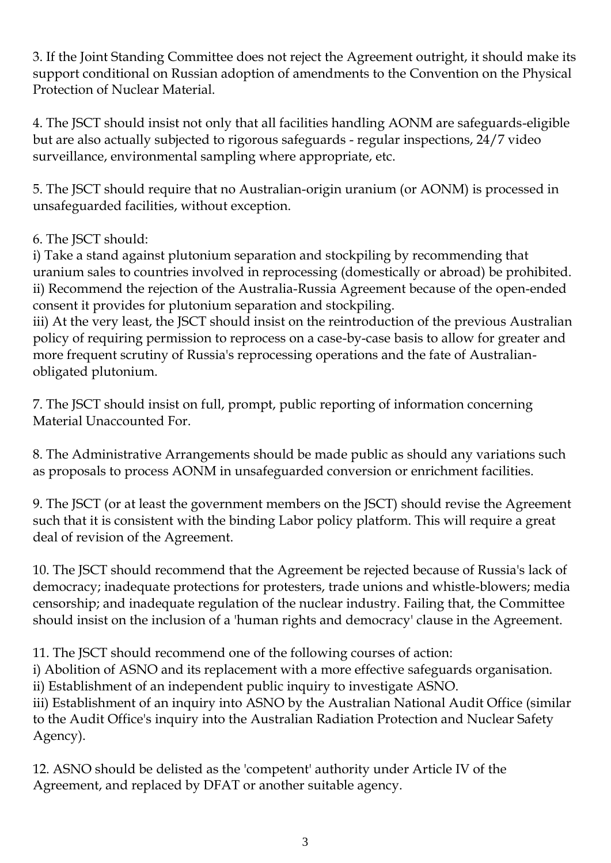3. If the Joint Standing Committee does not reject the Agreement outright, it should make its support conditional on Russian adoption of amendments to the Convention on the Physical Protection of Nuclear Material.

4. The JSCT should insist not only that all facilities handling AONM are safeguards-eligible but are also actually subjected to rigorous safeguards - regular inspections, 24/7 video surveillance, environmental sampling where appropriate, etc.

5. The JSCT should require that no Australian-origin uranium (or AONM) is processed in unsafeguarded facilities, without exception.

#### 6. The JSCT should:

i) Take a stand against plutonium separation and stockpiling by recommending that uranium sales to countries involved in reprocessing (domestically or abroad) be prohibited. ii) Recommend the rejection of the Australia-Russia Agreement because of the open-ended consent it provides for plutonium separation and stockpiling.

iii) At the very least, the JSCT should insist on the reintroduction of the previous Australian policy of requiring permission to reprocess on a case-by-case basis to allow for greater and more frequent scrutiny of Russia's reprocessing operations and the fate of Australianobligated plutonium.

7. The JSCT should insist on full, prompt, public reporting of information concerning Material Unaccounted For.

8. The Administrative Arrangements should be made public as should any variations such as proposals to process AONM in unsafeguarded conversion or enrichment facilities.

9. The JSCT (or at least the government members on the JSCT) should revise the Agreement such that it is consistent with the binding Labor policy platform. This will require a great deal of revision of the Agreement.

10. The JSCT should recommend that the Agreement be rejected because of Russia's lack of democracy; inadequate protections for protesters, trade unions and whistle-blowers; media censorship; and inadequate regulation of the nuclear industry. Failing that, the Committee should insist on the inclusion of a 'human rights and democracy' clause in the Agreement.

11. The JSCT should recommend one of the following courses of action:

i) Abolition of ASNO and its replacement with a more effective safeguards organisation. ii) Establishment of an independent public inquiry to investigate ASNO.

iii) Establishment of an inquiry into ASNO by the Australian National Audit Office (similar to the Audit Office's inquiry into the Australian Radiation Protection and Nuclear Safety Agency).

12. ASNO should be delisted as the 'competent' authority under Article IV of the Agreement, and replaced by DFAT or another suitable agency.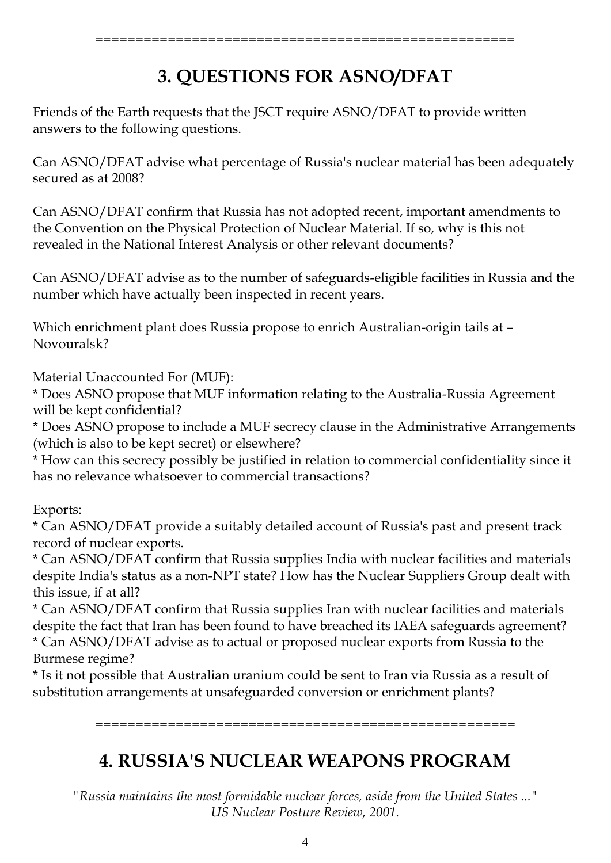# **3. QUESTIONS FOR ASNO/DFAT**

Friends of the Earth requests that the JSCT require ASNO/DFAT to provide written answers to the following questions.

Can ASNO/DFAT advise what percentage of Russia's nuclear material has been adequately secured as at 2008?

Can ASNO/DFAT confirm that Russia has not adopted recent, important amendments to the Convention on the Physical Protection of Nuclear Material. If so, why is this not revealed in the National Interest Analysis or other relevant documents?

Can ASNO/DFAT advise as to the number of safeguards-eligible facilities in Russia and the number which have actually been inspected in recent years.

Which enrichment plant does Russia propose to enrich Australian-origin tails at – Novouralsk?

Material Unaccounted For (MUF):

\* Does ASNO propose that MUF information relating to the Australia-Russia Agreement will be kept confidential?

\* Does ASNO propose to include a MUF secrecy clause in the Administrative Arrangements (which is also to be kept secret) or elsewhere?

\* How can this secrecy possibly be justified in relation to commercial confidentiality since it has no relevance whatsoever to commercial transactions?

Exports:

\* Can ASNO/DFAT provide a suitably detailed account of Russia's past and present track record of nuclear exports.

\* Can ASNO/DFAT confirm that Russia supplies India with nuclear facilities and materials despite India's status as a non-NPT state? How has the Nuclear Suppliers Group dealt with this issue, if at all?

\* Can ASNO/DFAT confirm that Russia supplies Iran with nuclear facilities and materials despite the fact that Iran has been found to have breached its IAEA safeguards agreement? \* Can ASNO/DFAT advise as to actual or proposed nuclear exports from Russia to the Burmese regime?

\* Is it not possible that Australian uranium could be sent to Iran via Russia as a result of substitution arrangements at unsafeguarded conversion or enrichment plants?

====================================================

# **4. RUSSIA'S NUCLEAR WEAPONS PROGRAM**

*"Russia maintains the most formidable nuclear forces, aside from the United States ..." US Nuclear Posture Review, 2001.*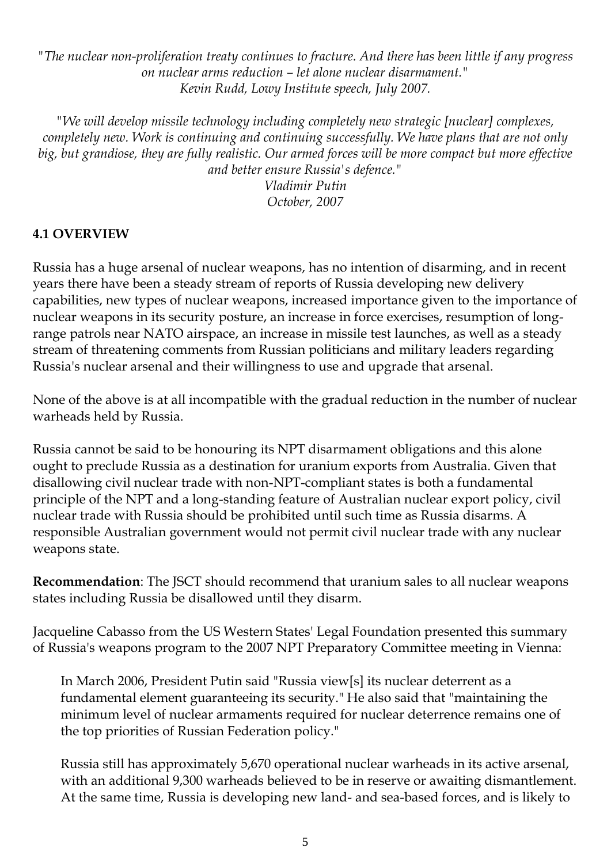*"The nuclear non-proliferation treaty continues to fracture. And there has been little if any progress on nuclear arms reduction – let alone nuclear disarmament." Kevin Rudd, Lowy Institute speech, July 2007.*

*"We will develop missile technology including completely new strategic [nuclear] complexes, completely new. Work is continuing and continuing successfully. We have plans that are not only big, but grandiose, they are fully realistic. Our armed forces will be more compact but more effective and better ensure Russia's defence."*

*Vladimir Putin October, 2007*

#### **4.1 OVERVIEW**

Russia has a huge arsenal of nuclear weapons, has no intention of disarming, and in recent years there have been a steady stream of reports of Russia developing new delivery capabilities, new types of nuclear weapons, increased importance given to the importance of nuclear weapons in its security posture, an increase in force exercises, resumption of longrange patrols near NATO airspace, an increase in missile test launches, as well as a steady stream of threatening comments from Russian politicians and military leaders regarding Russia's nuclear arsenal and their willingness to use and upgrade that arsenal.

None of the above is at all incompatible with the gradual reduction in the number of nuclear warheads held by Russia.

Russia cannot be said to be honouring its NPT disarmament obligations and this alone ought to preclude Russia as a destination for uranium exports from Australia. Given that disallowing civil nuclear trade with non-NPT-compliant states is both a fundamental principle of the NPT and a long-standing feature of Australian nuclear export policy, civil nuclear trade with Russia should be prohibited until such time as Russia disarms. A responsible Australian government would not permit civil nuclear trade with any nuclear weapons state.

**Recommendation**: The JSCT should recommend that uranium sales to all nuclear weapons states including Russia be disallowed until they disarm.

Jacqueline Cabasso from the US Western States' Legal Foundation presented this summary of Russia's weapons program to the 2007 NPT Preparatory Committee meeting in Vienna:

In March 2006, President Putin said "Russia view[s] its nuclear deterrent as a fundamental element guaranteeing its security." He also said that "maintaining the minimum level of nuclear armaments required for nuclear deterrence remains one of the top priorities of Russian Federation policy."

Russia still has approximately 5,670 operational nuclear warheads in its active arsenal, with an additional 9,300 warheads believed to be in reserve or awaiting dismantlement. At the same time, Russia is developing new land- and sea-based forces, and is likely to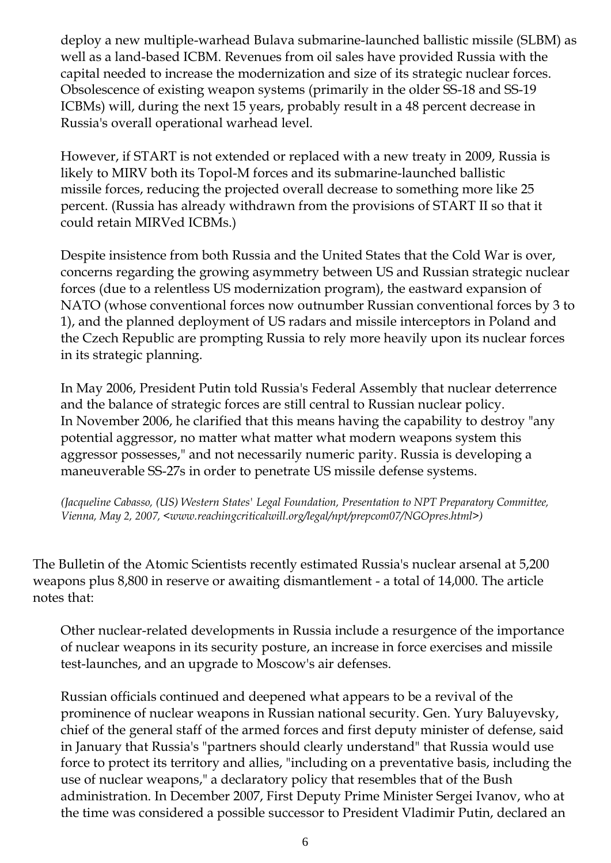deploy a new multiple-warhead Bulava submarine-launched ballistic missile (SLBM) as well as a land-based ICBM. Revenues from oil sales have provided Russia with the capital needed to increase the modernization and size of its strategic nuclear forces. Obsolescence of existing weapon systems (primarily in the older SS-18 and SS-19 ICBMs) will, during the next 15 years, probably result in a 48 percent decrease in Russia's overall operational warhead level.

However, if START is not extended or replaced with a new treaty in 2009, Russia is likely to MIRV both its Topol-M forces and its submarine-launched ballistic missile forces, reducing the projected overall decrease to something more like 25 percent. (Russia has already withdrawn from the provisions of START II so that it could retain MIRVed ICBMs.)

Despite insistence from both Russia and the United States that the Cold War is over, concerns regarding the growing asymmetry between US and Russian strategic nuclear forces (due to a relentless US modernization program), the eastward expansion of NATO (whose conventional forces now outnumber Russian conventional forces by 3 to 1), and the planned deployment of US radars and missile interceptors in Poland and the Czech Republic are prompting Russia to rely more heavily upon its nuclear forces in its strategic planning.

In May 2006, President Putin told Russia's Federal Assembly that nuclear deterrence and the balance of strategic forces are still central to Russian nuclear policy. In November 2006, he clarified that this means having the capability to destroy "any potential aggressor, no matter what matter what modern weapons system this aggressor possesses," and not necessarily numeric parity. Russia is developing a maneuverable SS-27s in order to penetrate US missile defense systems.

*(Jacqueline Cabasso, (US) Western States' Legal Foundation, Presentation to NPT Preparatory Committee, Vienna, May 2, 2007, <www.reachingcriticalwill.org/legal/npt/prepcom07/NGOpres.html>)*

The Bulletin of the Atomic Scientists recently estimated Russia's nuclear arsenal at 5,200 weapons plus 8,800 in reserve or awaiting dismantlement - a total of 14,000. The article notes that:

Other nuclear-related developments in Russia include a resurgence of the importance of nuclear weapons in its security posture, an increase in force exercises and missile test-launches, and an upgrade to Moscow's air defenses.

Russian officials continued and deepened what appears to be a revival of the prominence of nuclear weapons in Russian national security. Gen. Yury Baluyevsky, chief of the general staff of the armed forces and first deputy minister of defense, said in January that Russia's "partners should clearly understand" that Russia would use force to protect its territory and allies, "including on a preventative basis, including the use of nuclear weapons," a declaratory policy that resembles that of the Bush administration. In December 2007, First Deputy Prime Minister Sergei Ivanov, who at the time was considered a possible successor to President Vladimir Putin, declared an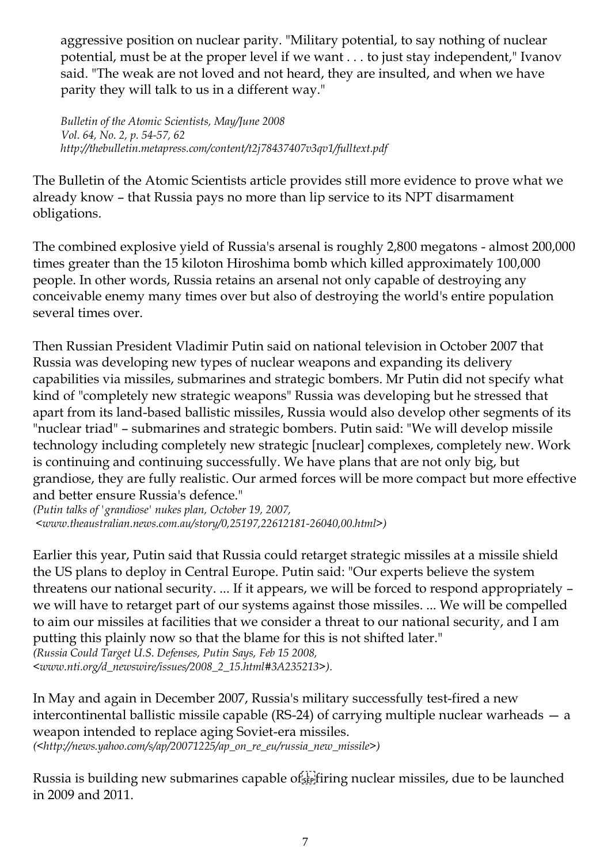aggressive position on nuclear parity. "Military potential, to say nothing of nuclear potential, must be at the proper level if we want . . . to just stay independent," Ivanov said. "The weak are not loved and not heard, they are insulted, and when we have parity they will talk to us in a different way."

*Bulletin of the Atomic Scientists, May/June 2008 Vol. 64, No. 2, p. 54-57, 62 http://thebulletin.metapress.com/content/t2j78437407v3qv1/fulltext.pdf*

The Bulletin of the Atomic Scientists article provides still more evidence to prove what we already know – that Russia pays no more than lip service to its NPT disarmament obligations.

The combined explosive yield of Russia's arsenal is roughly 2,800 megatons - almost 200,000 times greater than the 15 kiloton Hiroshima bomb which killed approximately 100,000 people. In other words, Russia retains an arsenal not only capable of destroying any conceivable enemy many times over but also of destroying the world's entire population several times over.

Then Russian President Vladimir Putin said on national television in October 2007 that Russia was developing new types of nuclear weapons and expanding its delivery capabilities via missiles, submarines and strategic bombers. Mr Putin did not specify what kind of "completely new strategic weapons" Russia was developing but he stressed that apart from its land-based ballistic missiles, Russia would also develop other segments of its "nuclear triad" – submarines and strategic bombers. Putin said: "We will develop missile technology including completely new strategic [nuclear] complexes, completely new. Work is continuing and continuing successfully. We have plans that are not only big, but grandiose, they are fully realistic. Our armed forces will be more compact but more effective and better ensure Russia's defence."

*(Putin talks of 'grandiose' nukes plan, October 19, 2007, <www.theaustralian.news.com.au/story/0,25197,22612181-26040,00.html>)*

Earlier this year, Putin said that Russia could retarget strategic missiles at a missile shield the US plans to deploy in Central Europe. Putin said: "Our experts believe the system threatens our national security. ... If it appears, we will be forced to respond appropriately – we will have to retarget part of our systems against those missiles. ... We will be compelled to aim our missiles at facilities that we consider a threat to our national security, and I am putting this plainly now so that the blame for this is not shifted later."

*(Russia Could Target U.S. Defenses, Putin Says, Feb 15 2008, <www.nti.org/d\_newswire/issues/2008\_2\_15.html#3A235213>).*

In May and again in December 2007, Russia's military successfully test-fired a new intercontinental ballistic missile capable (RS-24) of carrying multiple nuclear warheads — a weapon intended to replace aging Soviet-era missiles.

*(<http://news.yahoo.com/s/ap/20071225/ap\_on\_re\_eu/russia\_new\_missile>)*

Russia is building new submarines capable of Fighting nuclear missiles, due to be launched in 2009 and 2011.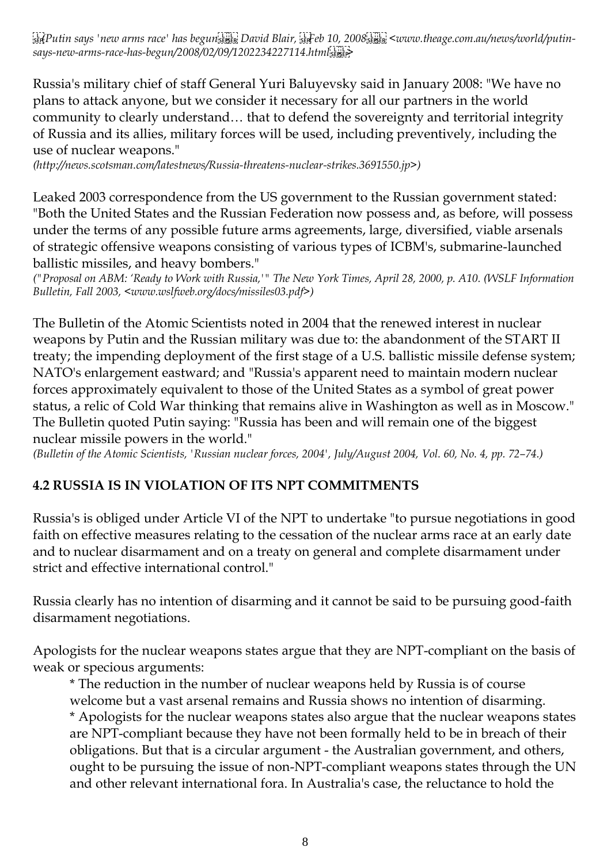*(Putin says 'new arms race' has begun , David Blair, Feb 10, 2008 , <www.theage.com.au/news/world/putinsays-new-arms-race-has-begun/2008/02/09/1202234227114.html >*

Russia's military chief of staff General Yuri Baluyevsky said in January 2008: "We have no plans to attack anyone, but we consider it necessary for all our partners in the world community to clearly understand… that to defend the sovereignty and territorial integrity of Russia and its allies, military forces will be used, including preventively, including the use of nuclear weapons."

*(http://news.scotsman.com/latestnews/Russia-threatens-nuclear-strikes.3691550.jp>)*

Leaked 2003 correspondence from the US government to the Russian government stated: "Both the United States and the Russian Federation now possess and, as before, will possess under the terms of any possible future arms agreements, large, diversified, viable arsenals of strategic offensive weapons consisting of various types of ICBM's, submarine-launched ballistic missiles, and heavy bombers."

*("Proposal on ABM: 'Ready to Work with Russia,'" The New York Times, April 28, 2000, p. A10. (WSLF Information Bulletin, Fall 2003, <www.wslfweb.org/docs/missiles03.pdf>)*

The Bulletin of the Atomic Scientists noted in 2004 that the renewed interest in nuclear weapons by Putin and the Russian military was due to: the abandonment of the START II treaty; the impending deployment of the first stage of a U.S. ballistic missile defense system; NATO's enlargement eastward; and "Russia's apparent need to maintain modern nuclear forces approximately equivalent to those of the United States as a symbol of great power status, a relic of Cold War thinking that remains alive in Washington as well as in Moscow." The Bulletin quoted Putin saying: "Russia has been and will remain one of the biggest nuclear missile powers in the world."

*(Bulletin of the Atomic Scientists, 'Russian nuclear forces, 2004', July/August 2004, Vol. 60, No. 4, pp. 72–74.)*

#### **4.2 RUSSIA IS IN VIOLATION OF ITS NPT COMMITMENTS**

Russia's is obliged under Article VI of the NPT to undertake "to pursue negotiations in good faith on effective measures relating to the cessation of the nuclear arms race at an early date and to nuclear disarmament and on a treaty on general and complete disarmament under strict and effective international control."

Russia clearly has no intention of disarming and it cannot be said to be pursuing good-faith disarmament negotiations.

Apologists for the nuclear weapons states argue that they are NPT-compliant on the basis of weak or specious arguments:

\* The reduction in the number of nuclear weapons held by Russia is of course welcome but a vast arsenal remains and Russia shows no intention of disarming. \* Apologists for the nuclear weapons states also argue that the nuclear weapons states are NPT-compliant because they have not been formally held to be in breach of their obligations. But that is a circular argument - the Australian government, and others, ought to be pursuing the issue of non-NPT-compliant weapons states through the UN and other relevant international fora. In Australia's case, the reluctance to hold the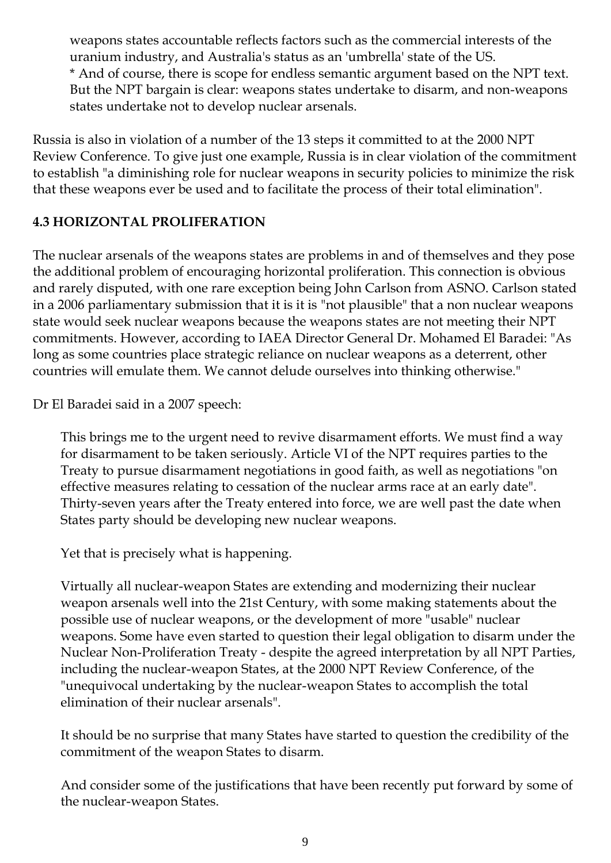weapons states accountable reflects factors such as the commercial interests of the uranium industry, and Australia's status as an 'umbrella' state of the US. \* And of course, there is scope for endless semantic argument based on the NPT text. But the NPT bargain is clear: weapons states undertake to disarm, and non-weapons states undertake not to develop nuclear arsenals.

Russia is also in violation of a number of the 13 steps it committed to at the 2000 NPT Review Conference. To give just one example, Russia is in clear violation of the commitment to establish "a diminishing role for nuclear weapons in security policies to minimize the risk that these weapons ever be used and to facilitate the process of their total elimination".

#### **4.3 HORIZONTAL PROLIFERATION**

The nuclear arsenals of the weapons states are problems in and of themselves and they pose the additional problem of encouraging horizontal proliferation. This connection is obvious and rarely disputed, with one rare exception being John Carlson from ASNO. Carlson stated in a 2006 parliamentary submission that it is it is "not plausible" that a non nuclear weapons state would seek nuclear weapons because the weapons states are not meeting their NPT commitments. However, according to IAEA Director General Dr. Mohamed El Baradei: "As long as some countries place strategic reliance on nuclear weapons as a deterrent, other countries will emulate them. We cannot delude ourselves into thinking otherwise."

Dr El Baradei said in a 2007 speech:

This brings me to the urgent need to revive disarmament efforts. We must find a way for disarmament to be taken seriously. Article VI of the NPT requires parties to the Treaty to pursue disarmament negotiations in good faith, as well as negotiations "on effective measures relating to cessation of the nuclear arms race at an early date". Thirty-seven years after the Treaty entered into force, we are well past the date when States party should be developing new nuclear weapons.

Yet that is precisely what is happening.

Virtually all nuclear-weapon States are extending and modernizing their nuclear weapon arsenals well into the 21st Century, with some making statements about the possible use of nuclear weapons, or the development of more "usable" nuclear weapons. Some have even started to question their legal obligation to disarm under the Nuclear Non-Proliferation Treaty - despite the agreed interpretation by all NPT Parties, including the nuclear-weapon States, at the 2000 NPT Review Conference, of the "unequivocal undertaking by the nuclear-weapon States to accomplish the total elimination of their nuclear arsenals".

It should be no surprise that many States have started to question the credibility of the commitment of the weapon States to disarm.

And consider some of the justifications that have been recently put forward by some of the nuclear-weapon States.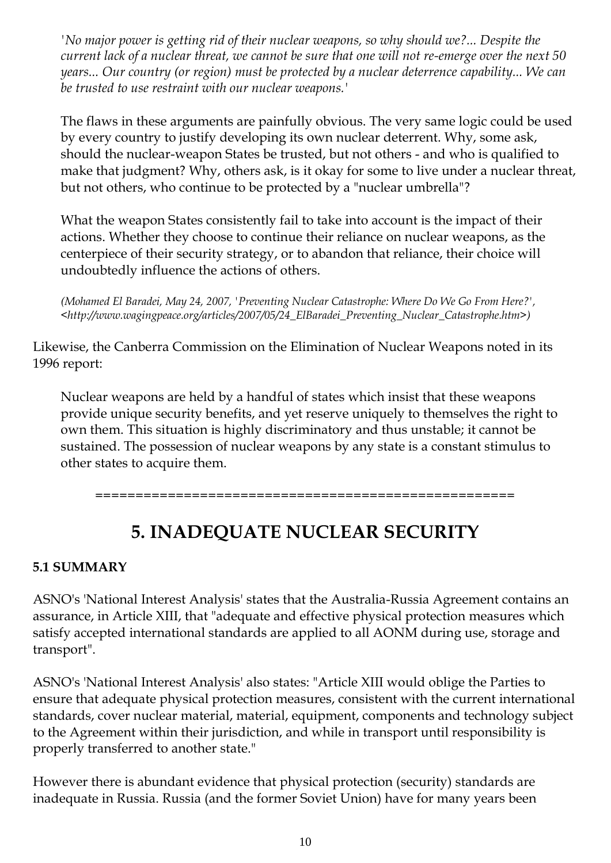*'No major power is getting rid of their nuclear weapons, so why should we?... Despite the current lack of a nuclear threat, we cannot be sure that one will not re-emerge over the next 50 years... Our country (or region) must be protected by a nuclear deterrence capability... We can be trusted to use restraint with our nuclear weapons.'*

The flaws in these arguments are painfully obvious. The very same logic could be used by every country to justify developing its own nuclear deterrent. Why, some ask, should the nuclear-weapon States be trusted, but not others - and who is qualified to make that judgment? Why, others ask, is it okay for some to live under a nuclear threat, but not others, who continue to be protected by a "nuclear umbrella"?

What the weapon States consistently fail to take into account is the impact of their actions. Whether they choose to continue their reliance on nuclear weapons, as the centerpiece of their security strategy, or to abandon that reliance, their choice will undoubtedly influence the actions of others.

*(Mohamed El Baradei, May 24, 2007, 'Preventing Nuclear Catastrophe: Where Do We Go From Here?', <http://www.wagingpeace.org/articles/2007/05/24\_ElBaradei\_Preventing\_Nuclear\_Catastrophe.htm>)*

Likewise, the Canberra Commission on the Elimination of Nuclear Weapons noted in its 1996 report:

Nuclear weapons are held by a handful of states which insist that these weapons provide unique security benefits, and yet reserve uniquely to themselves the right to own them. This situation is highly discriminatory and thus unstable; it cannot be sustained. The possession of nuclear weapons by any state is a constant stimulus to other states to acquire them.

====================================================

# **5. INADEQUATE NUCLEAR SECURITY**

#### **5.1 SUMMARY**

ASNO's 'National Interest Analysis' states that the Australia-Russia Agreement contains an assurance, in Article XIII, that "adequate and effective physical protection measures which satisfy accepted international standards are applied to all AONM during use, storage and transport".

ASNO's 'National Interest Analysis' also states: "Article XIII would oblige the Parties to ensure that adequate physical protection measures, consistent with the current international standards, cover nuclear material, material, equipment, components and technology subject to the Agreement within their jurisdiction, and while in transport until responsibility is properly transferred to another state."

However there is abundant evidence that physical protection (security) standards are inadequate in Russia. Russia (and the former Soviet Union) have for many years been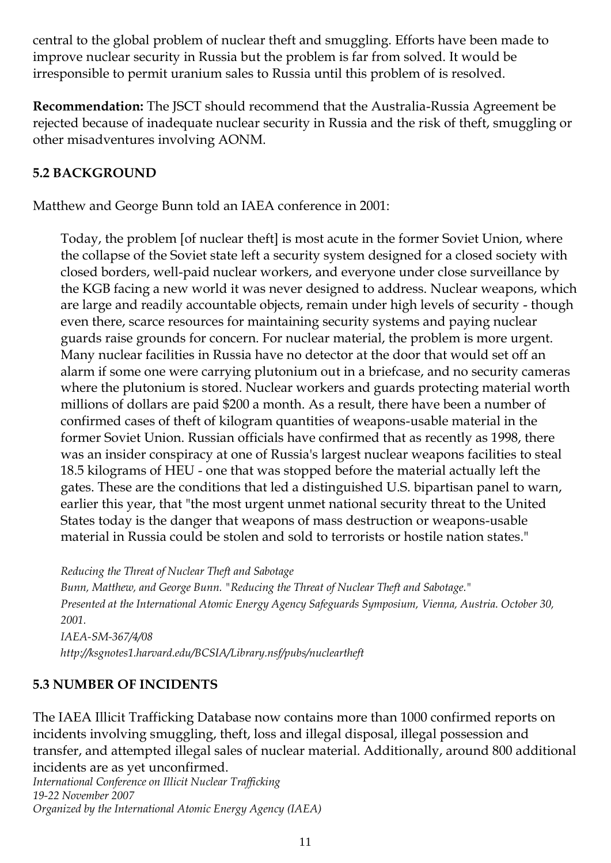central to the global problem of nuclear theft and smuggling. Efforts have been made to improve nuclear security in Russia but the problem is far from solved. It would be irresponsible to permit uranium sales to Russia until this problem of is resolved.

**Recommendation:** The JSCT should recommend that the Australia-Russia Agreement be rejected because of inadequate nuclear security in Russia and the risk of theft, smuggling or other misadventures involving AONM.

#### **5.2 BACKGROUND**

Matthew and George Bunn told an IAEA conference in 2001:

Today, the problem [of nuclear theft] is most acute in the former Soviet Union, where the collapse of the Soviet state left a security system designed for a closed society with closed borders, well-paid nuclear workers, and everyone under close surveillance by the KGB facing a new world it was never designed to address. Nuclear weapons, which are large and readily accountable objects, remain under high levels of security - though even there, scarce resources for maintaining security systems and paying nuclear guards raise grounds for concern. For nuclear material, the problem is more urgent. Many nuclear facilities in Russia have no detector at the door that would set off an alarm if some one were carrying plutonium out in a briefcase, and no security cameras where the plutonium is stored. Nuclear workers and guards protecting material worth millions of dollars are paid \$200 a month. As a result, there have been a number of confirmed cases of theft of kilogram quantities of weapons-usable material in the former Soviet Union. Russian officials have confirmed that as recently as 1998, there was an insider conspiracy at one of Russia's largest nuclear weapons facilities to steal 18.5 kilograms of HEU - one that was stopped before the material actually left the gates. These are the conditions that led a distinguished U.S. bipartisan panel to warn, earlier this year, that "the most urgent unmet national security threat to the United States today is the danger that weapons of mass destruction or weapons-usable material in Russia could be stolen and sold to terrorists or hostile nation states."

*Reducing the Threat of Nuclear Theft and Sabotage*

*Bunn, Matthew, and George Bunn. "Reducing the Threat of Nuclear Theft and Sabotage." Presented at the International Atomic Energy Agency Safeguards Symposium, Vienna, Austria. October 30, 2001. IAEA-SM-367/4/08 http://ksgnotes1.harvard.edu/BCSIA/Library.nsf/pubs/nucleartheft*

#### **5.3 NUMBER OF INCIDENTS**

The IAEA Illicit Trafficking Database now contains more than 1000 confirmed reports on incidents involving smuggling, theft, loss and illegal disposal, illegal possession and transfer, and attempted illegal sales of nuclear material. Additionally, around 800 additional incidents are as yet unconfirmed.

*International Conference on Illicit Nuclear Trafficking 19-22 November 2007 Organized by the International Atomic Energy Agency (IAEA)*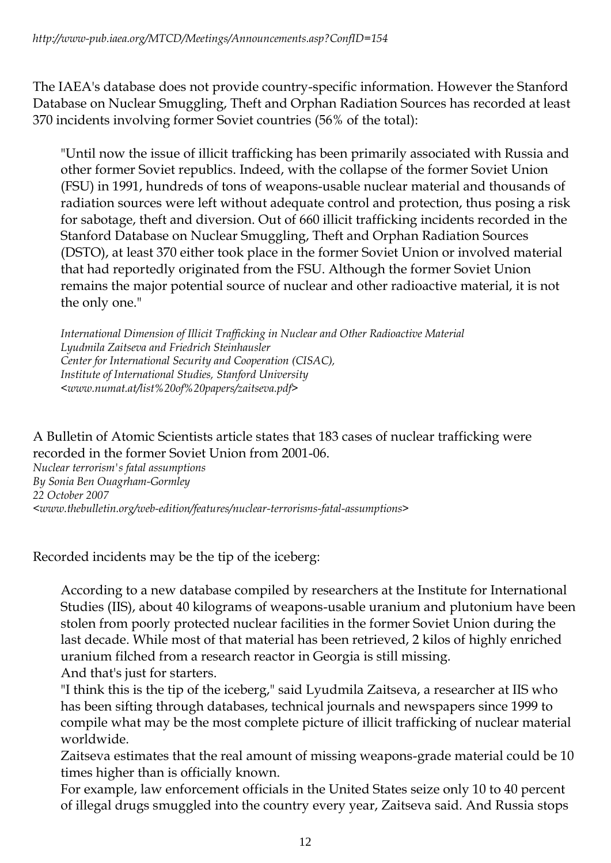The IAEA's database does not provide country-specific information. However the Stanford Database on Nuclear Smuggling, Theft and Orphan Radiation Sources has recorded at least 370 incidents involving former Soviet countries (56% of the total):

"Until now the issue of illicit trafficking has been primarily associated with Russia and other former Soviet republics. Indeed, with the collapse of the former Soviet Union (FSU) in 1991, hundreds of tons of weapons-usable nuclear material and thousands of radiation sources were left without adequate control and protection, thus posing a risk for sabotage, theft and diversion. Out of 660 illicit trafficking incidents recorded in the Stanford Database on Nuclear Smuggling, Theft and Orphan Radiation Sources (DSTO), at least 370 either took place in the former Soviet Union or involved material that had reportedly originated from the FSU. Although the former Soviet Union remains the major potential source of nuclear and other radioactive material, it is not the only one."

*International Dimension of Illicit Trafficking in Nuclear and Other Radioactive Material Lyudmila Zaitseva and Friedrich Steinhausler Center for International Security and Cooperation (CISAC), Institute of International Studies, Stanford University <www.numat.at/list%20of%20papers/zaitseva.pdf>*

A Bulletin of Atomic Scientists article states that 183 cases of nuclear trafficking were recorded in the former Soviet Union from 2001-06.

*Nuclear terrorism's fatal assumptions By Sonia Ben Ouagrham-Gormley 22 October 2007 <www.thebulletin.org/web-edition/features/nuclear-terrorisms-fatal-assumptions>*

Recorded incidents may be the tip of the iceberg:

According to a new database compiled by researchers at the Institute for International Studies (IIS), about 40 kilograms of weapons-usable uranium and plutonium have been stolen from poorly protected nuclear facilities in the former Soviet Union during the last decade. While most of that material has been retrieved, 2 kilos of highly enriched uranium filched from a research reactor in Georgia is still missing. And that's just for starters.

"I think this is the tip of the iceberg," said Lyudmila Zaitseva, a researcher at IIS who has been sifting through databases, technical journals and newspapers since 1999 to compile what may be the most complete picture of illicit trafficking of nuclear material worldwide.

Zaitseva estimates that the real amount of missing weapons-grade material could be 10 times higher than is officially known.

For example, law enforcement officials in the United States seize only 10 to 40 percent of illegal drugs smuggled into the country every year, Zaitseva said. And Russia stops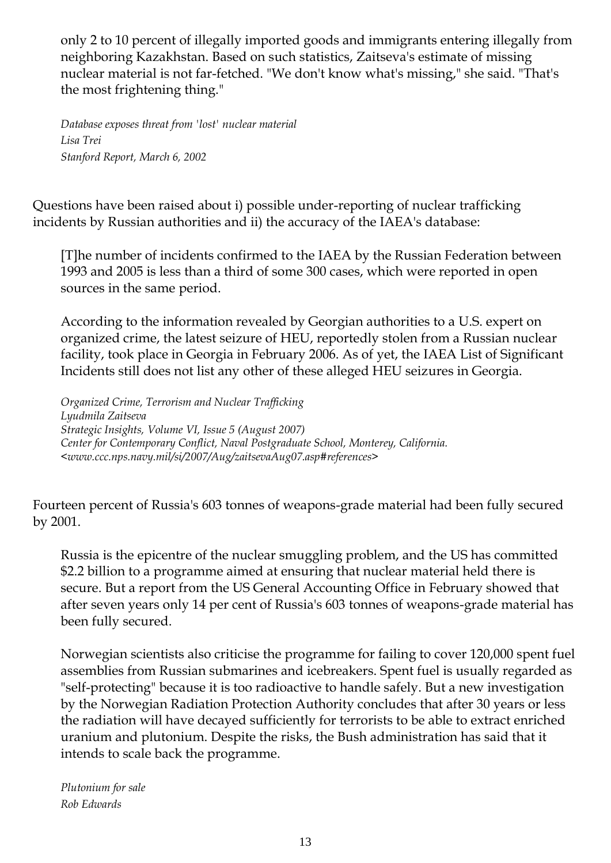only 2 to 10 percent of illegally imported goods and immigrants entering illegally from neighboring Kazakhstan. Based on such statistics, Zaitseva's estimate of missing nuclear material is not far-fetched. "We don't know what's missing," she said. "That's the most frightening thing."

*Database exposes threat from 'lost' nuclear material Lisa Trei Stanford Report, March 6, 2002* 

Questions have been raised about i) possible under-reporting of nuclear trafficking incidents by Russian authorities and ii) the accuracy of the IAEA's database:

[T]he number of incidents confirmed to the IAEA by the Russian Federation between 1993 and 2005 is less than a third of some 300 cases, which were reported in open sources in the same period.

According to the information revealed by Georgian authorities to a U.S. expert on organized crime, the latest seizure of HEU, reportedly stolen from a Russian nuclear facility, took place in Georgia in February 2006. As of yet, the IAEA List of Significant Incidents still does not list any other of these alleged HEU seizures in Georgia.

*Organized Crime, Terrorism and Nuclear Trafficking Lyudmila Zaitseva Strategic Insights, Volume VI, Issue 5 (August 2007) Center for Contemporary Conflict, Naval Postgraduate School, Monterey, California. <www.ccc.nps.navy.mil/si/2007/Aug/zaitsevaAug07.asp#references>*

Fourteen percent of Russia's 603 tonnes of weapons-grade material had been fully secured by 2001.

Russia is the epicentre of the nuclear smuggling problem, and the US has committed \$2.2 billion to a programme aimed at ensuring that nuclear material held there is secure. But a report from the US General Accounting Office in February showed that after seven years only 14 per cent of Russia's 603 tonnes of weapons-grade material has been fully secured.

Norwegian scientists also criticise the programme for failing to cover 120,000 spent fuel assemblies from Russian submarines and icebreakers. Spent fuel is usually regarded as "self-protecting" because it is too radioactive to handle safely. But a new investigation by the Norwegian Radiation Protection Authority concludes that after 30 years or less the radiation will have decayed sufficiently for terrorists to be able to extract enriched uranium and plutonium. Despite the risks, the Bush administration has said that it intends to scale back the programme.

*Plutonium for sale Rob Edwards*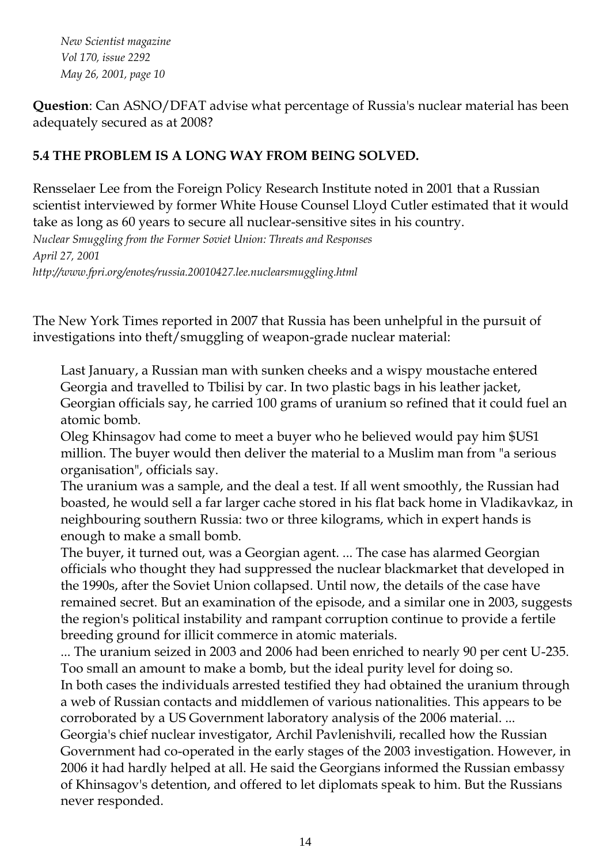*New Scientist magazine Vol 170, issue 2292 May 26, 2001, page 10*

**Question**: Can ASNO/DFAT advise what percentage of Russia's nuclear material has been adequately secured as at 2008?

#### **5.4 THE PROBLEM IS A LONG WAY FROM BEING SOLVED.**

Rensselaer Lee from the Foreign Policy Research Institute noted in 2001 that a Russian scientist interviewed by former White House Counsel Lloyd Cutler estimated that it would take as long as 60 years to secure all nuclear-sensitive sites in his country.

*Nuclear Smuggling from the Former Soviet Union: Threats and Responses April 27, 2001 http://www.fpri.org/enotes/russia.20010427.lee.nuclearsmuggling.html*

The New York Times reported in 2007 that Russia has been unhelpful in the pursuit of investigations into theft/smuggling of weapon-grade nuclear material:

Last January, a Russian man with sunken cheeks and a wispy moustache entered Georgia and travelled to Tbilisi by car. In two plastic bags in his leather jacket, Georgian officials say, he carried 100 grams of uranium so refined that it could fuel an atomic bomb.

Oleg Khinsagov had come to meet a buyer who he believed would pay him \$US1 million. The buyer would then deliver the material to a Muslim man from "a serious organisation", officials say.

The uranium was a sample, and the deal a test. If all went smoothly, the Russian had boasted, he would sell a far larger cache stored in his flat back home in Vladikavkaz, in neighbouring southern Russia: two or three kilograms, which in expert hands is enough to make a small bomb.

The buyer, it turned out, was a Georgian agent. ... The case has alarmed Georgian officials who thought they had suppressed the nuclear blackmarket that developed in the 1990s, after the Soviet Union collapsed. Until now, the details of the case have remained secret. But an examination of the episode, and a similar one in 2003, suggests the region's political instability and rampant corruption continue to provide a fertile breeding ground for illicit commerce in atomic materials.

... The uranium seized in 2003 and 2006 had been enriched to nearly 90 per cent U-235. Too small an amount to make a bomb, but the ideal purity level for doing so.

In both cases the individuals arrested testified they had obtained the uranium through a web of Russian contacts and middlemen of various nationalities. This appears to be corroborated by a US Government laboratory analysis of the 2006 material. ...

Georgia's chief nuclear investigator, Archil Pavlenishvili, recalled how the Russian Government had co-operated in the early stages of the 2003 investigation. However, in 2006 it had hardly helped at all. He said the Georgians informed the Russian embassy of Khinsagov's detention, and offered to let diplomats speak to him. But the Russians never responded.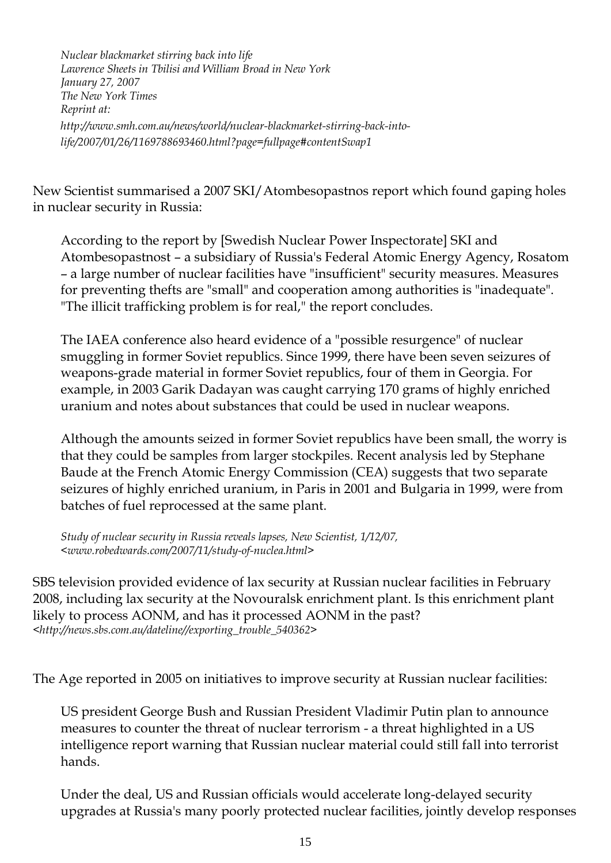*Nuclear blackmarket stirring back into life Lawrence Sheets in Tbilisi and William Broad in New York January 27, 2007 The New York Times Reprint at: http://www.smh.com.au/news/world/nuclear-blackmarket-stirring-back-intolife/2007/01/26/1169788693460.html?page=fullpage#contentSwap1*

New Scientist summarised a 2007 SKI/Atombesopastnos report which found gaping holes in nuclear security in Russia:

According to the report by [Swedish Nuclear Power Inspectorate] SKI and Atombesopastnost – a subsidiary of Russia's Federal Atomic Energy Agency, Rosatom – a large number of nuclear facilities have "insufficient" security measures. Measures for preventing thefts are "small" and cooperation among authorities is "inadequate". "The illicit trafficking problem is for real," the report concludes.

The IAEA conference also heard evidence of a "possible resurgence" of nuclear smuggling in former Soviet republics. Since 1999, there have been seven seizures of weapons-grade material in former Soviet republics, four of them in Georgia. For example, in 2003 Garik Dadayan was caught carrying 170 grams of highly enriched uranium and notes about substances that could be used in nuclear weapons.

Although the amounts seized in former Soviet republics have been small, the worry is that they could be samples from larger stockpiles. Recent analysis led by Stephane Baude at the French Atomic Energy Commission (CEA) suggests that two separate seizures of highly enriched uranium, in Paris in 2001 and Bulgaria in 1999, were from batches of fuel reprocessed at the same plant.

*Study of nuclear security in Russia reveals lapses, New Scientist, 1/12/07, <www.robedwards.com/2007/11/study-of-nuclea.html>*

SBS television provided evidence of lax security at Russian nuclear facilities in February 2008, including lax security at the Novouralsk enrichment plant. Is this enrichment plant likely to process AONM, and has it processed AONM in the past? *<http://news.sbs.com.au/dateline//exporting\_trouble\_540362>*

The Age reported in 2005 on initiatives to improve security at Russian nuclear facilities:

US president George Bush and Russian President Vladimir Putin plan to announce measures to counter the threat of nuclear terrorism - a threat highlighted in a US intelligence report warning that Russian nuclear material could still fall into terrorist hands.

Under the deal, US and Russian officials would accelerate long-delayed security upgrades at Russia's many poorly protected nuclear facilities, jointly develop responses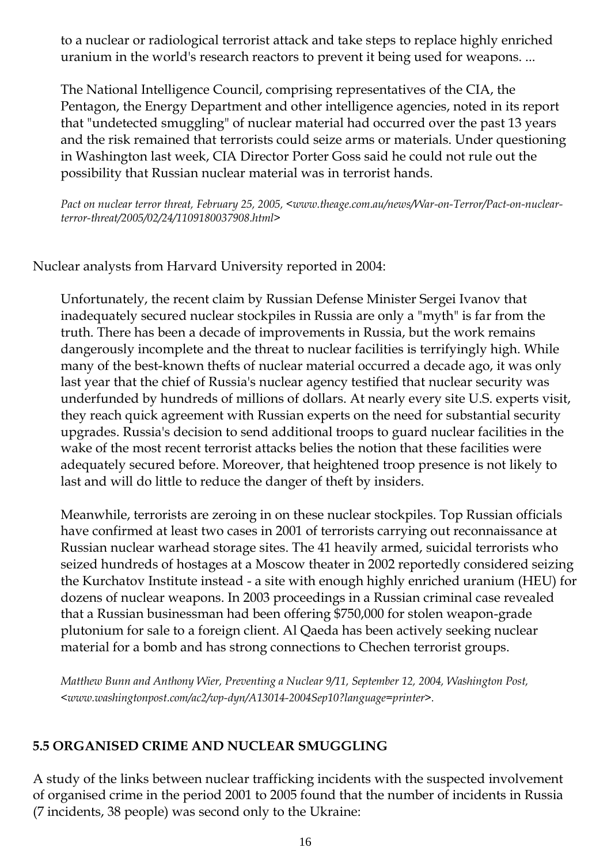to a nuclear or radiological terrorist attack and take steps to replace highly enriched uranium in the world's research reactors to prevent it being used for weapons. ...

The National Intelligence Council, comprising representatives of the CIA, the Pentagon, the Energy Department and other intelligence agencies, noted in its report that "undetected smuggling" of nuclear material had occurred over the past 13 years and the risk remained that terrorists could seize arms or materials. Under questioning in Washington last week, CIA Director Porter Goss said he could not rule out the possibility that Russian nuclear material was in terrorist hands.

*Pact on nuclear terror threat, February 25, 2005, <www.theage.com.au/news/War-on-Terror/Pact-on-nuclearterror-threat/2005/02/24/1109180037908.html>*

Nuclear analysts from Harvard University reported in 2004:

Unfortunately, the recent claim by Russian Defense Minister Sergei Ivanov that inadequately secured nuclear stockpiles in Russia are only a "myth" is far from the truth. There has been a decade of improvements in Russia, but the work remains dangerously incomplete and the threat to nuclear facilities is terrifyingly high. While many of the best-known thefts of nuclear material occurred a decade ago, it was only last year that the chief of Russia's nuclear agency testified that nuclear security was underfunded by hundreds of millions of dollars. At nearly every site U.S. experts visit, they reach quick agreement with Russian experts on the need for substantial security upgrades. Russia's decision to send additional troops to guard nuclear facilities in the wake of the most recent terrorist attacks belies the notion that these facilities were adequately secured before. Moreover, that heightened troop presence is not likely to last and will do little to reduce the danger of theft by insiders.

Meanwhile, terrorists are zeroing in on these nuclear stockpiles. Top Russian officials have confirmed at least two cases in 2001 of terrorists carrying out reconnaissance at Russian nuclear warhead storage sites. The 41 heavily armed, suicidal terrorists who seized hundreds of hostages at a Moscow theater in 2002 reportedly considered seizing the Kurchatov Institute instead - a site with enough highly enriched uranium (HEU) for dozens of nuclear weapons. In 2003 proceedings in a Russian criminal case revealed that a Russian businessman had been offering \$750,000 for stolen weapon-grade plutonium for sale to a foreign client. Al Qaeda has been actively seeking nuclear material for a bomb and has strong connections to Chechen terrorist groups.

*Matthew Bunn and Anthony Wier, Preventing a Nuclear 9/11, September 12, 2004, Washington Post, <www.washingtonpost.com/ac2/wp-dyn/A13014-2004Sep10?language=printer>.*

#### **5.5 ORGANISED CRIME AND NUCLEAR SMUGGLING**

A study of the links between nuclear trafficking incidents with the suspected involvement of organised crime in the period 2001 to 2005 found that the number of incidents in Russia (7 incidents, 38 people) was second only to the Ukraine: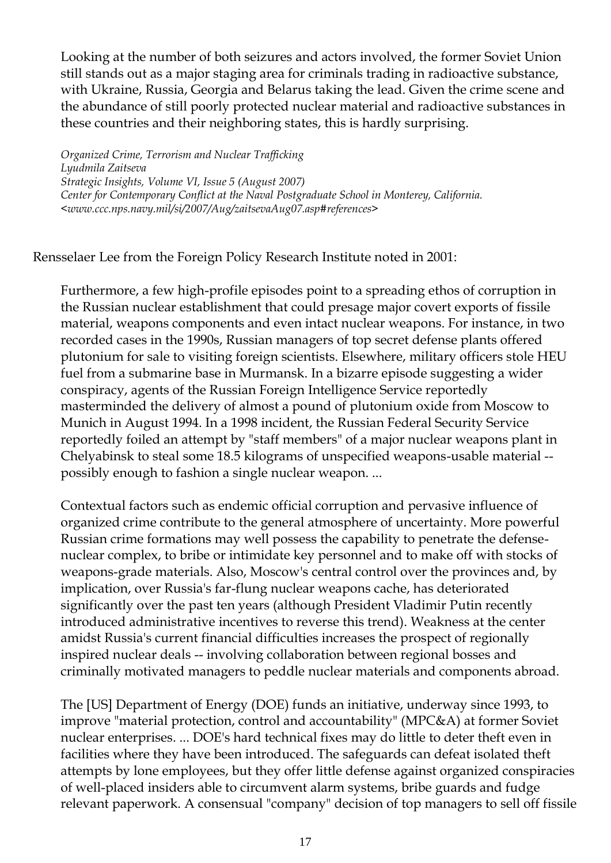Looking at the number of both seizures and actors involved, the former Soviet Union still stands out as a major staging area for criminals trading in radioactive substance, with Ukraine, Russia, Georgia and Belarus taking the lead. Given the crime scene and the abundance of still poorly protected nuclear material and radioactive substances in these countries and their neighboring states, this is hardly surprising.

*Organized Crime, Terrorism and Nuclear Trafficking Lyudmila Zaitseva Strategic Insights, Volume VI, Issue 5 (August 2007) Center for Contemporary Conflict at the Naval Postgraduate School in Monterey, California. <www.ccc.nps.navy.mil/si/2007/Aug/zaitsevaAug07.asp#references>*

Rensselaer Lee from the Foreign Policy Research Institute noted in 2001:

Furthermore, a few high-profile episodes point to a spreading ethos of corruption in the Russian nuclear establishment that could presage major covert exports of fissile material, weapons components and even intact nuclear weapons. For instance, in two recorded cases in the 1990s, Russian managers of top secret defense plants offered plutonium for sale to visiting foreign scientists. Elsewhere, military officers stole HEU fuel from a submarine base in Murmansk. In a bizarre episode suggesting a wider conspiracy, agents of the Russian Foreign Intelligence Service reportedly masterminded the delivery of almost a pound of plutonium oxide from Moscow to Munich in August 1994. In a 1998 incident, the Russian Federal Security Service reportedly foiled an attempt by "staff members" of a major nuclear weapons plant in Chelyabinsk to steal some 18.5 kilograms of unspecified weapons-usable material - possibly enough to fashion a single nuclear weapon. ...

Contextual factors such as endemic official corruption and pervasive influence of organized crime contribute to the general atmosphere of uncertainty. More powerful Russian crime formations may well possess the capability to penetrate the defensenuclear complex, to bribe or intimidate key personnel and to make off with stocks of weapons-grade materials. Also, Moscow's central control over the provinces and, by implication, over Russia's far-flung nuclear weapons cache, has deteriorated significantly over the past ten years (although President Vladimir Putin recently introduced administrative incentives to reverse this trend). Weakness at the center amidst Russia's current financial difficulties increases the prospect of regionally inspired nuclear deals -- involving collaboration between regional bosses and criminally motivated managers to peddle nuclear materials and components abroad.

The [US] Department of Energy (DOE) funds an initiative, underway since 1993, to improve "material protection, control and accountability" (MPC&A) at former Soviet nuclear enterprises. ... DOE's hard technical fixes may do little to deter theft even in facilities where they have been introduced. The safeguards can defeat isolated theft attempts by lone employees, but they offer little defense against organized conspiracies of well-placed insiders able to circumvent alarm systems, bribe guards and fudge relevant paperwork. A consensual "company" decision of top managers to sell off fissile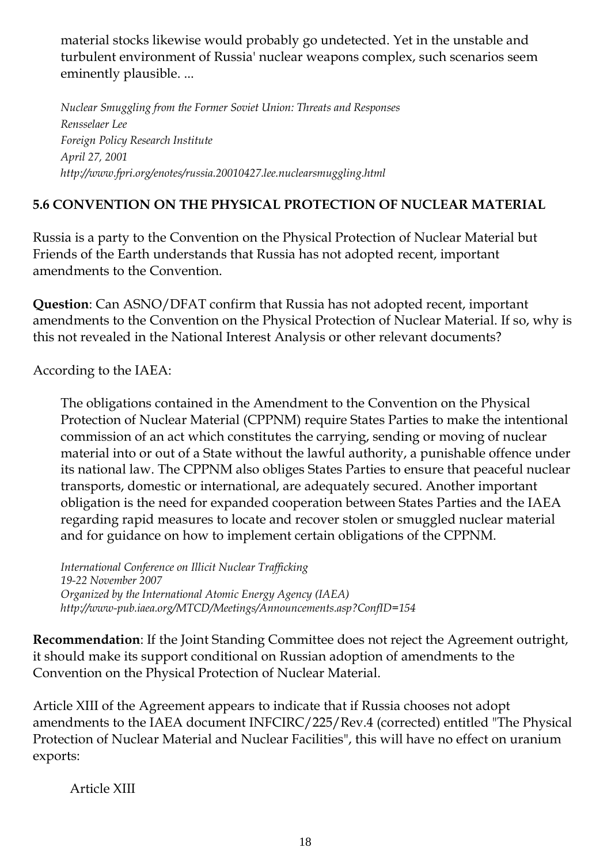material stocks likewise would probably go undetected. Yet in the unstable and turbulent environment of Russia' nuclear weapons complex, such scenarios seem eminently plausible. ...

*Nuclear Smuggling from the Former Soviet Union: Threats and Responses Rensselaer Lee Foreign Policy Research Institute April 27, 2001 http://www.fpri.org/enotes/russia.20010427.lee.nuclearsmuggling.html*

#### **5.6 CONVENTION ON THE PHYSICAL PROTECTION OF NUCLEAR MATERIAL**

Russia is a party to the Convention on the Physical Protection of Nuclear Material but Friends of the Earth understands that Russia has not adopted recent, important amendments to the Convention.

**Question**: Can ASNO/DFAT confirm that Russia has not adopted recent, important amendments to the Convention on the Physical Protection of Nuclear Material. If so, why is this not revealed in the National Interest Analysis or other relevant documents?

According to the IAEA:

The obligations contained in the Amendment to the Convention on the Physical Protection of Nuclear Material (CPPNM) require States Parties to make the intentional commission of an act which constitutes the carrying, sending or moving of nuclear material into or out of a State without the lawful authority, a punishable offence under its national law. The CPPNM also obliges States Parties to ensure that peaceful nuclear transports, domestic or international, are adequately secured. Another important obligation is the need for expanded cooperation between States Parties and the IAEA regarding rapid measures to locate and recover stolen or smuggled nuclear material and for guidance on how to implement certain obligations of the CPPNM.

*International Conference on Illicit Nuclear Trafficking 19-22 November 2007 Organized by the International Atomic Energy Agency (IAEA) http://www-pub.iaea.org/MTCD/Meetings/Announcements.asp?ConfID=154*

**Recommendation**: If the Joint Standing Committee does not reject the Agreement outright, it should make its support conditional on Russian adoption of amendments to the Convention on the Physical Protection of Nuclear Material.

Article XIII of the Agreement appears to indicate that if Russia chooses not adopt amendments to the IAEA document INFCIRC/225/Rev.4 (corrected) entitled "The Physical Protection of Nuclear Material and Nuclear Facilities", this will have no effect on uranium exports:

Article XIII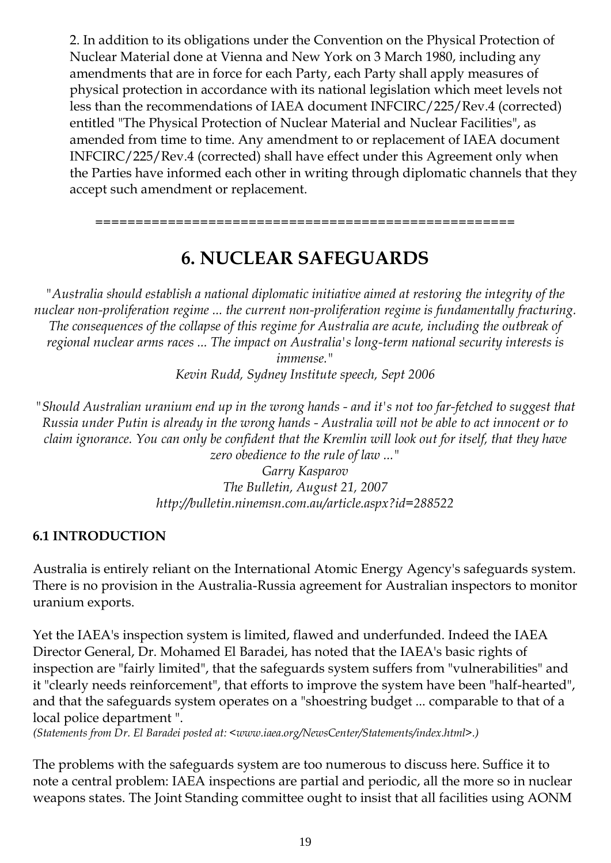2. In addition to its obligations under the Convention on the Physical Protection of Nuclear Material done at Vienna and New York on 3 March 1980, including any amendments that are in force for each Party, each Party shall apply measures of physical protection in accordance with its national legislation which meet levels not less than the recommendations of IAEA document INFCIRC/225/Rev.4 (corrected) entitled "The Physical Protection of Nuclear Material and Nuclear Facilities", as amended from time to time. Any amendment to or replacement of IAEA document INFCIRC/225/Rev.4 (corrected) shall have effect under this Agreement only when the Parties have informed each other in writing through diplomatic channels that they accept such amendment or replacement.

## **6. NUCLEAR SAFEGUARDS**

====================================================

*"Australia should establish a national diplomatic initiative aimed at restoring the integrity of the nuclear non-proliferation regime ... the current non-proliferation regime is fundamentally fracturing. The consequences of the collapse of this regime for Australia are acute, including the outbreak of regional nuclear arms races ... The impact on Australia's long-term national security interests is immense."*

*Kevin Rudd, Sydney Institute speech, Sept 2006*

*"Should Australian uranium end up in the wrong hands - and it's not too far-fetched to suggest that Russia under Putin is already in the wrong hands - Australia will not be able to act innocent or to claim ignorance. You can only be confident that the Kremlin will look out for itself, that they have zero obedience to the rule of law ..."*

*Garry Kasparov The Bulletin, August 21, 2007 http://bulletin.ninemsn.com.au/article.aspx?id=288522*

#### **6.1 INTRODUCTION**

Australia is entirely reliant on the International Atomic Energy Agency's safeguards system. There is no provision in the Australia-Russia agreement for Australian inspectors to monitor uranium exports.

Yet the IAEA's inspection system is limited, flawed and underfunded. Indeed the IAEA Director General, Dr. Mohamed El Baradei, has noted that the IAEA's basic rights of inspection are "fairly limited", that the safeguards system suffers from "vulnerabilities" and it "clearly needs reinforcement", that efforts to improve the system have been "half-hearted", and that the safeguards system operates on a "shoestring budget ... comparable to that of a local police department ".

*(Statements from Dr. El Baradei posted at: <www.iaea.org/NewsCenter/Statements/index.html>.)*

The problems with the safeguards system are too numerous to discuss here. Suffice it to note a central problem: IAEA inspections are partial and periodic, all the more so in nuclear weapons states. The Joint Standing committee ought to insist that all facilities using AONM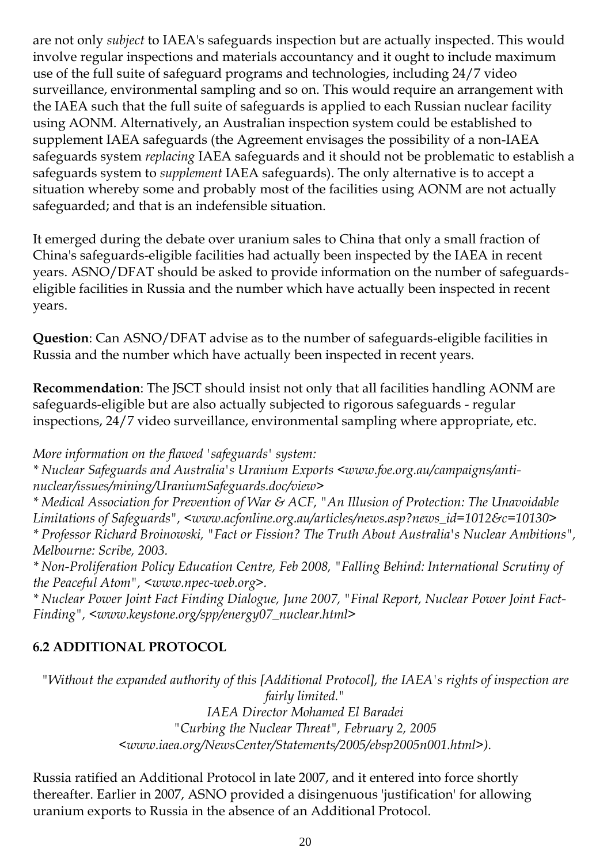are not only *subject* to IAEA's safeguards inspection but are actually inspected. This would involve regular inspections and materials accountancy and it ought to include maximum use of the full suite of safeguard programs and technologies, including 24/7 video surveillance, environmental sampling and so on. This would require an arrangement with the IAEA such that the full suite of safeguards is applied to each Russian nuclear facility using AONM. Alternatively, an Australian inspection system could be established to supplement IAEA safeguards (the Agreement envisages the possibility of a non-IAEA safeguards system *replacing* IAEA safeguards and it should not be problematic to establish a safeguards system to *supplement* IAEA safeguards). The only alternative is to accept a situation whereby some and probably most of the facilities using AONM are not actually safeguarded; and that is an indefensible situation.

It emerged during the debate over uranium sales to China that only a small fraction of China's safeguards-eligible facilities had actually been inspected by the IAEA in recent years. ASNO/DFAT should be asked to provide information on the number of safeguardseligible facilities in Russia and the number which have actually been inspected in recent years.

**Question**: Can ASNO/DFAT advise as to the number of safeguards-eligible facilities in Russia and the number which have actually been inspected in recent years.

**Recommendation**: The JSCT should insist not only that all facilities handling AONM are safeguards-eligible but are also actually subjected to rigorous safeguards - regular inspections, 24/7 video surveillance, environmental sampling where appropriate, etc.

*More information on the flawed 'safeguards' system:*

*\* Nuclear Safeguards and Australia's Uranium Exports <www.foe.org.au/campaigns/antinuclear/issues/mining/UraniumSafeguards.doc/view>*

*\* Medical Association for Prevention of War & ACF, "An Illusion of Protection: The Unavoidable Limitations of Safeguards", <www.acfonline.org.au/articles/news.asp?news\_id=1012&c=10130> \* Professor Richard Broinowski, "Fact or Fission? The Truth About Australia's Nuclear Ambitions", Melbourne: Scribe, 2003.*

*\* Non-Proliferation Policy Education Centre, Feb 2008, "Falling Behind: International Scrutiny of the Peaceful Atom", <www.npec-web.org>.*

*\* Nuclear Power Joint Fact Finding Dialogue, June 2007, "Final Report, Nuclear Power Joint Fact-Finding", <www.keystone.org/spp/energy07\_nuclear.html>*

#### **6.2 ADDITIONAL PROTOCOL**

*"Without the expanded authority of this [Additional Protocol], the IAEA's rights of inspection are fairly limited." IAEA Director Mohamed El Baradei "Curbing the Nuclear Threat", February 2, 2005 <www.iaea.org/NewsCenter/Statements/2005/ebsp2005n001.html>).*

Russia ratified an Additional Protocol in late 2007, and it entered into force shortly thereafter. Earlier in 2007, ASNO provided a disingenuous 'justification' for allowing uranium exports to Russia in the absence of an Additional Protocol.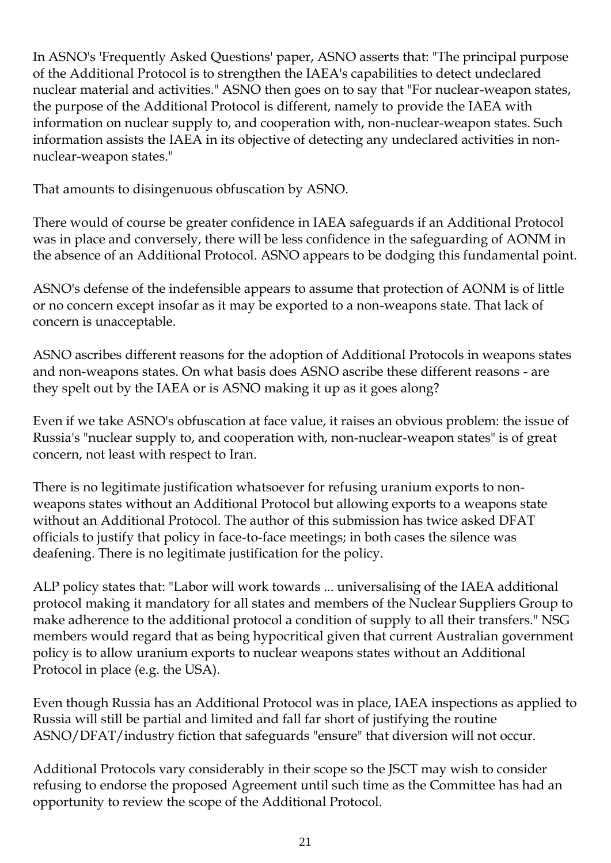In ASNO's 'Frequently Asked Questions' paper, ASNO asserts that: "The principal purpose of the Additional Protocol is to strengthen the IAEA's capabilities to detect undeclared nuclear material and activities." ASNO then goes on to say that "For nuclear-weapon states, the purpose of the Additional Protocol is different, namely to provide the IAEA with information on nuclear supply to, and cooperation with, non-nuclear-weapon states. Such information assists the IAEA in its objective of detecting any undeclared activities in nonnuclear-weapon states."

That amounts to disingenuous obfuscation by ASNO.

There would of course be greater confidence in IAEA safeguards if an Additional Protocol was in place and conversely, there will be less confidence in the safeguarding of AONM in the absence of an Additional Protocol. ASNO appears to be dodging this fundamental point.

ASNO's defense of the indefensible appears to assume that protection of AONM is of little or no concern except insofar as it may be exported to a non-weapons state. That lack of concern is unacceptable.

ASNO ascribes different reasons for the adoption of Additional Protocols in weapons states and non-weapons states. On what basis does ASNO ascribe these different reasons - are they spelt out by the IAEA or is ASNO making it up as it goes along?

Even if we take ASNO's obfuscation at face value, it raises an obvious problem: the issue of Russia's "nuclear supply to, and cooperation with, non-nuclear-weapon states" is of great concern, not least with respect to Iran.

There is no legitimate justification whatsoever for refusing uranium exports to nonweapons states without an Additional Protocol but allowing exports to a weapons state without an Additional Protocol. The author of this submission has twice asked DFAT officials to justify that policy in face-to-face meetings; in both cases the silence was deafening. There is no legitimate justification for the policy.

ALP policy states that: "Labor will work towards ... universalising of the IAEA additional protocol making it mandatory for all states and members of the Nuclear Suppliers Group to make adherence to the additional protocol a condition of supply to all their transfers." NSG members would regard that as being hypocritical given that current Australian government policy is to allow uranium exports to nuclear weapons states without an Additional Protocol in place (e.g. the USA).

Even though Russia has an Additional Protocol was in place, IAEA inspections as applied to Russia will still be partial and limited and fall far short of justifying the routine ASNO/DFAT/industry fiction that safeguards "ensure" that diversion will not occur.

Additional Protocols vary considerably in their scope so the JSCT may wish to consider refusing to endorse the proposed Agreement until such time as the Committee has had an opportunity to review the scope of the Additional Protocol.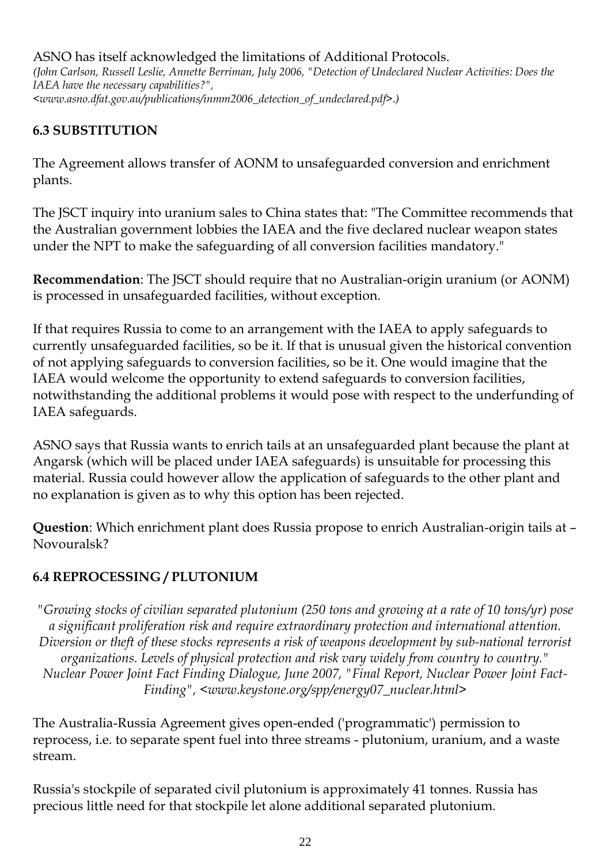ASNO has itself acknowledged the limitations of Additional Protocols. *(John Carlson, Russell Leslie, Annette Berriman, July 2006, "Detection of Undeclared Nuclear Activities: Does the IAEA have the necessary capabilities?", <www.asno.dfat.gov.au/publications/inmm2006\_detection\_of\_undeclared.pdf>.)*

#### **6.3 SUBSTITUTION**

The Agreement allows transfer of AONM to unsafeguarded conversion and enrichment plants.

The JSCT inquiry into uranium sales to China states that: "The Committee recommends that the Australian government lobbies the IAEA and the five declared nuclear weapon states under the NPT to make the safeguarding of all conversion facilities mandatory."

**Recommendation**: The JSCT should require that no Australian-origin uranium (or AONM) is processed in unsafeguarded facilities, without exception.

If that requires Russia to come to an arrangement with the IAEA to apply safeguards to currently unsafeguarded facilities, so be it. If that is unusual given the historical convention of not applying safeguards to conversion facilities, so be it. One would imagine that the IAEA would welcome the opportunity to extend safeguards to conversion facilities, notwithstanding the additional problems it would pose with respect to the underfunding of IAEA safeguards.

ASNO says that Russia wants to enrich tails at an unsafeguarded plant because the plant at Angarsk (which will be placed under IAEA safeguards) is unsuitable for processing this material. Russia could however allow the application of safeguards to the other plant and no explanation is given as to why this option has been rejected.

**Question**: Which enrichment plant does Russia propose to enrich Australian-origin tails at – Novouralsk?

#### **6.4 REPROCESSING / PLUTONIUM**

*"Growing stocks of civilian separated plutonium (250 tons and growing at a rate of 10 tons/yr) pose a significant proliferation risk and require extraordinary protection and international attention. Diversion or theft of these stocks represents a risk of weapons development by sub-national terrorist organizations. Levels of physical protection and risk vary widely from country to country." Nuclear Power Joint Fact Finding Dialogue, June 2007, "Final Report, Nuclear Power Joint Fact-Finding", <www.keystone.org/spp/energy07\_nuclear.html>*

The Australia-Russia Agreement gives open-ended ('programmatic') permission to reprocess, i.e. to separate spent fuel into three streams - plutonium, uranium, and a waste stream.

Russia's stockpile of separated civil plutonium is approximately 41 tonnes. Russia has precious little need for that stockpile let alone additional separated plutonium.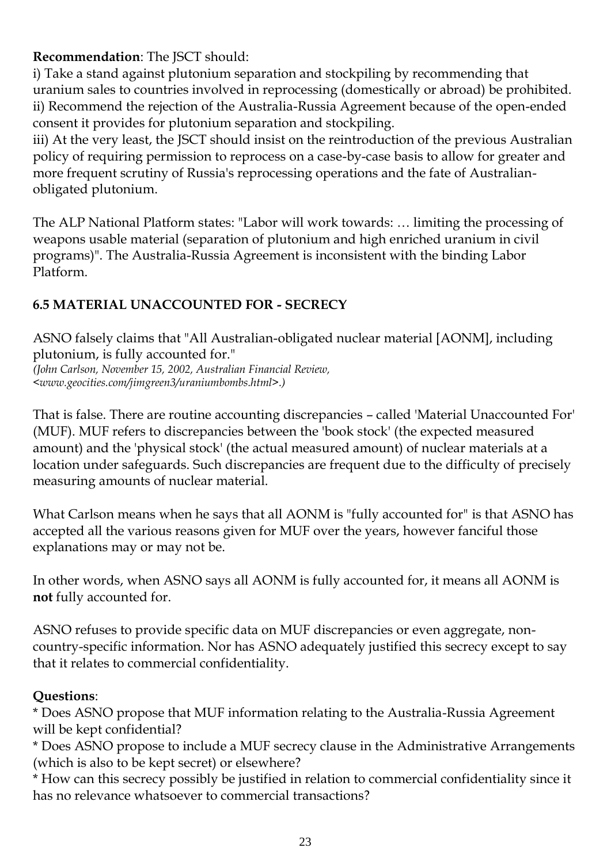#### **Recommendation**: The JSCT should:

i) Take a stand against plutonium separation and stockpiling by recommending that uranium sales to countries involved in reprocessing (domestically or abroad) be prohibited. ii) Recommend the rejection of the Australia-Russia Agreement because of the open-ended consent it provides for plutonium separation and stockpiling.

iii) At the very least, the JSCT should insist on the reintroduction of the previous Australian policy of requiring permission to reprocess on a case-by-case basis to allow for greater and more frequent scrutiny of Russia's reprocessing operations and the fate of Australianobligated plutonium.

The ALP National Platform states: "Labor will work towards: … limiting the processing of weapons usable material (separation of plutonium and high enriched uranium in civil programs)". The Australia-Russia Agreement is inconsistent with the binding Labor Platform.

#### **6.5 MATERIAL UNACCOUNTED FOR - SECRECY**

ASNO falsely claims that "All Australian-obligated nuclear material [AONM], including plutonium, is fully accounted for."

*(John Carlson, November 15, 2002, Australian Financial Review, <www.geocities.com/jimgreen3/uraniumbombs.html>.)*

That is false. There are routine accounting discrepancies – called 'Material Unaccounted For' (MUF). MUF refers to discrepancies between the 'book stock' (the expected measured amount) and the 'physical stock' (the actual measured amount) of nuclear materials at a location under safeguards. Such discrepancies are frequent due to the difficulty of precisely measuring amounts of nuclear material.

What Carlson means when he says that all AONM is "fully accounted for" is that ASNO has accepted all the various reasons given for MUF over the years, however fanciful those explanations may or may not be.

In other words, when ASNO says all AONM is fully accounted for, it means all AONM is **not** fully accounted for.

ASNO refuses to provide specific data on MUF discrepancies or even aggregate, noncountry-specific information. Nor has ASNO adequately justified this secrecy except to say that it relates to commercial confidentiality.

#### **Questions**:

\* Does ASNO propose that MUF information relating to the Australia-Russia Agreement will be kept confidential?

\* Does ASNO propose to include a MUF secrecy clause in the Administrative Arrangements (which is also to be kept secret) or elsewhere?

\* How can this secrecy possibly be justified in relation to commercial confidentiality since it has no relevance whatsoever to commercial transactions?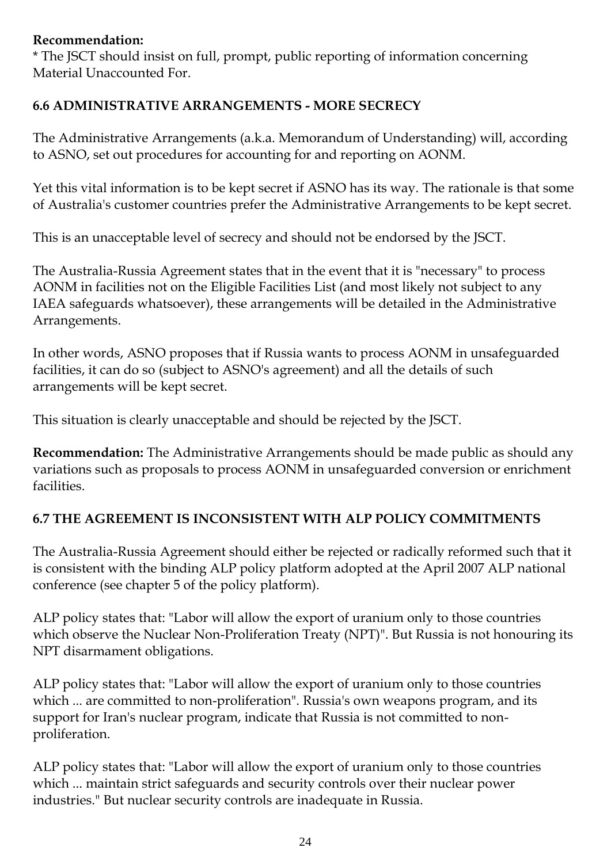#### **Recommendation:**

\* The JSCT should insist on full, prompt, public reporting of information concerning Material Unaccounted For.

#### **6.6 ADMINISTRATIVE ARRANGEMENTS - MORE SECRECY**

The Administrative Arrangements (a.k.a. Memorandum of Understanding) will, according to ASNO, set out procedures for accounting for and reporting on AONM.

Yet this vital information is to be kept secret if ASNO has its way. The rationale is that some of Australia's customer countries prefer the Administrative Arrangements to be kept secret.

This is an unacceptable level of secrecy and should not be endorsed by the JSCT.

The Australia-Russia Agreement states that in the event that it is "necessary" to process AONM in facilities not on the Eligible Facilities List (and most likely not subject to any IAEA safeguards whatsoever), these arrangements will be detailed in the Administrative Arrangements.

In other words, ASNO proposes that if Russia wants to process AONM in unsafeguarded facilities, it can do so (subject to ASNO's agreement) and all the details of such arrangements will be kept secret.

This situation is clearly unacceptable and should be rejected by the JSCT.

**Recommendation:** The Administrative Arrangements should be made public as should any variations such as proposals to process AONM in unsafeguarded conversion or enrichment facilities.

#### **6.7 THE AGREEMENT IS INCONSISTENT WITH ALP POLICY COMMITMENTS**

The Australia-Russia Agreement should either be rejected or radically reformed such that it is consistent with the binding ALP policy platform adopted at the April 2007 ALP national conference (see chapter 5 of the policy platform).

ALP policy states that: "Labor will allow the export of uranium only to those countries which observe the Nuclear Non-Proliferation Treaty (NPT)". But Russia is not honouring its NPT disarmament obligations.

ALP policy states that: "Labor will allow the export of uranium only to those countries which ... are committed to non-proliferation". Russia's own weapons program, and its support for Iran's nuclear program, indicate that Russia is not committed to nonproliferation.

ALP policy states that: "Labor will allow the export of uranium only to those countries which ... maintain strict safeguards and security controls over their nuclear power industries." But nuclear security controls are inadequate in Russia.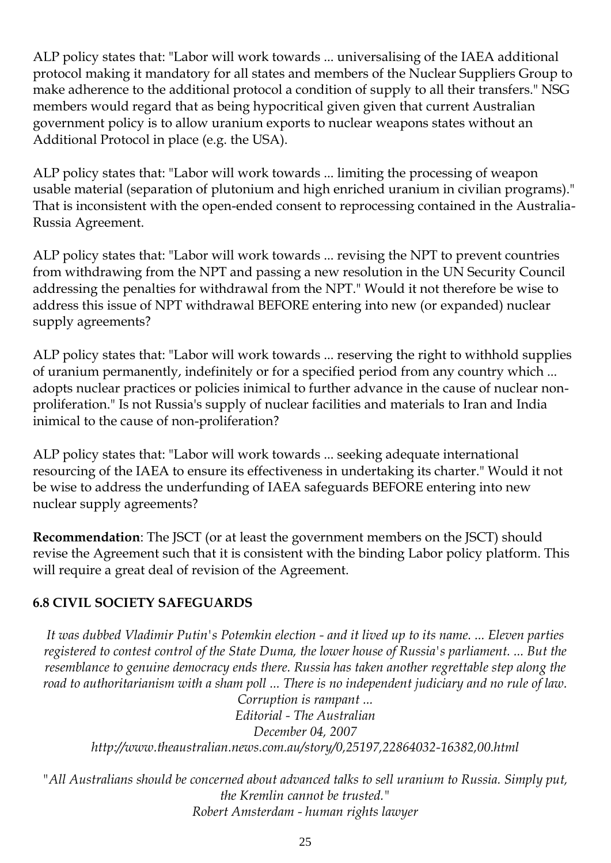ALP policy states that: "Labor will work towards ... universalising of the IAEA additional protocol making it mandatory for all states and members of the Nuclear Suppliers Group to make adherence to the additional protocol a condition of supply to all their transfers." NSG members would regard that as being hypocritical given given that current Australian government policy is to allow uranium exports to nuclear weapons states without an Additional Protocol in place (e.g. the USA).

ALP policy states that: "Labor will work towards ... limiting the processing of weapon usable material (separation of plutonium and high enriched uranium in civilian programs)." That is inconsistent with the open-ended consent to reprocessing contained in the Australia-Russia Agreement.

ALP policy states that: "Labor will work towards ... revising the NPT to prevent countries from withdrawing from the NPT and passing a new resolution in the UN Security Council addressing the penalties for withdrawal from the NPT." Would it not therefore be wise to address this issue of NPT withdrawal BEFORE entering into new (or expanded) nuclear supply agreements?

ALP policy states that: "Labor will work towards ... reserving the right to withhold supplies of uranium permanently, indefinitely or for a specified period from any country which ... adopts nuclear practices or policies inimical to further advance in the cause of nuclear nonproliferation." Is not Russia's supply of nuclear facilities and materials to Iran and India inimical to the cause of non-proliferation?

ALP policy states that: "Labor will work towards ... seeking adequate international resourcing of the IAEA to ensure its effectiveness in undertaking its charter." Would it not be wise to address the underfunding of IAEA safeguards BEFORE entering into new nuclear supply agreements?

**Recommendation**: The JSCT (or at least the government members on the JSCT) should revise the Agreement such that it is consistent with the binding Labor policy platform. This will require a great deal of revision of the Agreement.

#### **6.8 CIVIL SOCIETY SAFEGUARDS**

*It was dubbed Vladimir Putin's Potemkin election - and it lived up to its name. ... Eleven parties registered to contest control of the State Duma, the lower house of Russia's parliament. ... But the resemblance to genuine democracy ends there. Russia has taken another regrettable step along the road to authoritarianism with a sham poll ... There is no independent judiciary and no rule of law. Corruption is rampant ...*

*Editorial - The Australian December 04, 2007 http://www.theaustralian.news.com.au/story/0,25197,22864032-16382,00.html*

*"All Australians should be concerned about advanced talks to sell uranium to Russia. Simply put, the Kremlin cannot be trusted." Robert Amsterdam - human rights lawyer*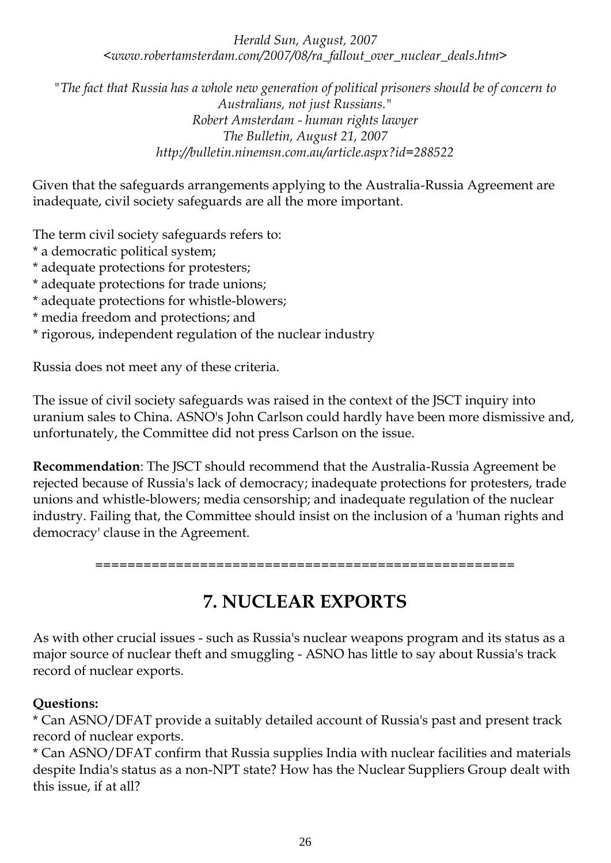*Herald Sun, August, 2007 <www.robertamsterdam.com/2007/08/ra\_fallout\_over\_nuclear\_deals.htm>*

*"The fact that Russia has a whole new generation of political prisoners should be of concern to Australians, not just Russians." Robert Amsterdam - human rights lawyer The Bulletin, August 21, 2007 http://bulletin.ninemsn.com.au/article.aspx?id=288522*

Given that the safeguards arrangements applying to the Australia-Russia Agreement are inadequate, civil society safeguards are all the more important.

The term civil society safeguards refers to:

- \* a democratic political system;
- \* adequate protections for protesters;
- \* adequate protections for trade unions;
- \* adequate protections for whistle-blowers;
- \* media freedom and protections; and
- \* rigorous, independent regulation of the nuclear industry

Russia does not meet any of these criteria.

The issue of civil society safeguards was raised in the context of the JSCT inquiry into uranium sales to China. ASNO's John Carlson could hardly have been more dismissive and, unfortunately, the Committee did not press Carlson on the issue.

**Recommendation**: The JSCT should recommend that the Australia-Russia Agreement be rejected because of Russia's lack of democracy; inadequate protections for protesters, trade unions and whistle-blowers; media censorship; and inadequate regulation of the nuclear industry. Failing that, the Committee should insist on the inclusion of a 'human rights and democracy' clause in the Agreement.

====================================================

## **7. NUCLEAR EXPORTS**

As with other crucial issues - such as Russia's nuclear weapons program and its status as a major source of nuclear theft and smuggling - ASNO has little to say about Russia's track record of nuclear exports.

#### **Questions:**

\* Can ASNO/DFAT provide a suitably detailed account of Russia's past and present track record of nuclear exports.

\* Can ASNO/DFAT confirm that Russia supplies India with nuclear facilities and materials despite India's status as a non-NPT state? How has the Nuclear Suppliers Group dealt with this issue, if at all?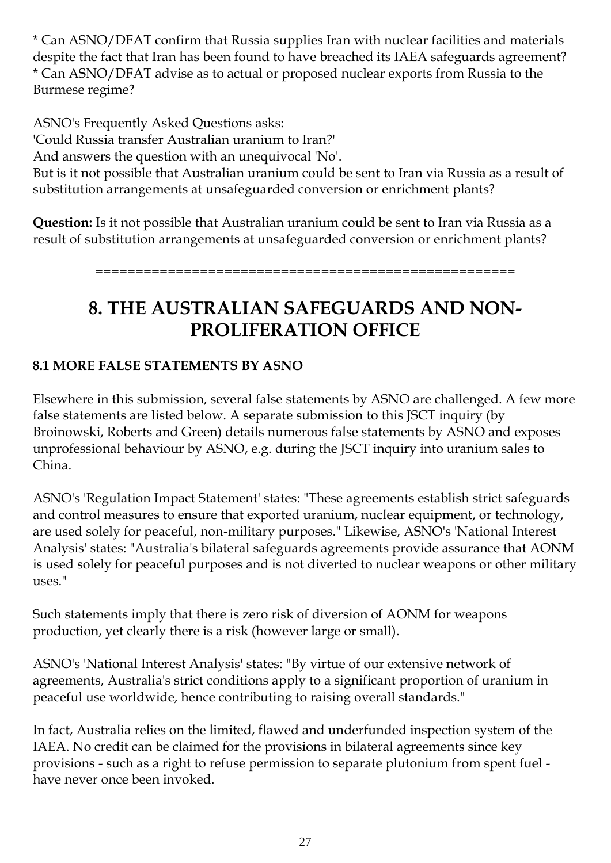\* Can ASNO/DFAT confirm that Russia supplies Iran with nuclear facilities and materials despite the fact that Iran has been found to have breached its IAEA safeguards agreement? \* Can ASNO/DFAT advise as to actual or proposed nuclear exports from Russia to the Burmese regime?

ASNO's Frequently Asked Questions asks: 'Could Russia transfer Australian uranium to Iran?' And answers the question with an unequivocal 'No'. But is it not possible that Australian uranium could be sent to Iran via Russia as a result of substitution arrangements at unsafeguarded conversion or enrichment plants?

**Question:** Is it not possible that Australian uranium could be sent to Iran via Russia as a result of substitution arrangements at unsafeguarded conversion or enrichment plants?

====================================================

# **8. THE AUSTRALIAN SAFEGUARDS AND NON-PROLIFERATION OFFICE**

### **8.1 MORE FALSE STATEMENTS BY ASNO**

Elsewhere in this submission, several false statements by ASNO are challenged. A few more false statements are listed below. A separate submission to this JSCT inquiry (by Broinowski, Roberts and Green) details numerous false statements by ASNO and exposes unprofessional behaviour by ASNO, e.g. during the JSCT inquiry into uranium sales to China.

ASNO's 'Regulation Impact Statement' states: "These agreements establish strict safeguards and control measures to ensure that exported uranium, nuclear equipment, or technology, are used solely for peaceful, non-military purposes." Likewise, ASNO's 'National Interest Analysis' states: "Australia's bilateral safeguards agreements provide assurance that AONM is used solely for peaceful purposes and is not diverted to nuclear weapons or other military uses."

Such statements imply that there is zero risk of diversion of AONM for weapons production, yet clearly there is a risk (however large or small).

ASNO's 'National Interest Analysis' states: "By virtue of our extensive network of agreements, Australia's strict conditions apply to a significant proportion of uranium in peaceful use worldwide, hence contributing to raising overall standards."

In fact, Australia relies on the limited, flawed and underfunded inspection system of the IAEA. No credit can be claimed for the provisions in bilateral agreements since key provisions - such as a right to refuse permission to separate plutonium from spent fuel have never once been invoked.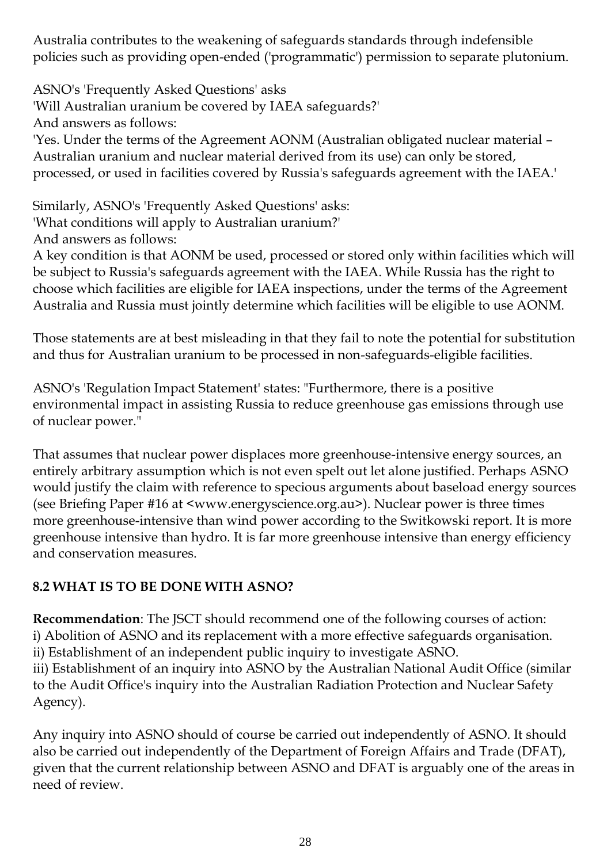Australia contributes to the weakening of safeguards standards through indefensible policies such as providing open-ended ('programmatic') permission to separate plutonium.

ASNO's 'Frequently Asked Questions' asks 'Will Australian uranium be covered by IAEA safeguards?' And answers as follows: 'Yes. Under the terms of the Agreement AONM (Australian obligated nuclear material – Australian uranium and nuclear material derived from its use) can only be stored, processed, or used in facilities covered by Russia's safeguards agreement with the IAEA.'

Similarly, ASNO's 'Frequently Asked Questions' asks: 'What conditions will apply to Australian uranium?'

And answers as follows: A key condition is that AONM be used, processed or stored only within facilities which will be subject to Russia's safeguards agreement with the IAEA. While Russia has the right to choose which facilities are eligible for IAEA inspections, under the terms of the Agreement

Those statements are at best misleading in that they fail to note the potential for substitution and thus for Australian uranium to be processed in non-safeguards-eligible facilities.

Australia and Russia must jointly determine which facilities will be eligible to use AONM.

ASNO's 'Regulation Impact Statement' states: "Furthermore, there is a positive environmental impact in assisting Russia to reduce greenhouse gas emissions through use of nuclear power."

That assumes that nuclear power displaces more greenhouse-intensive energy sources, an entirely arbitrary assumption which is not even spelt out let alone justified. Perhaps ASNO would justify the claim with reference to specious arguments about baseload energy sources (see Briefing Paper #16 at <www.energyscience.org.au>). Nuclear power is three times more greenhouse-intensive than wind power according to the Switkowski report. It is more greenhouse intensive than hydro. It is far more greenhouse intensive than energy efficiency and conservation measures.

## **8.2 WHAT IS TO BE DONE WITH ASNO?**

**Recommendation**: The JSCT should recommend one of the following courses of action: i) Abolition of ASNO and its replacement with a more effective safeguards organisation. ii) Establishment of an independent public inquiry to investigate ASNO. iii) Establishment of an inquiry into ASNO by the Australian National Audit Office (similar to the Audit Office's inquiry into the Australian Radiation Protection and Nuclear Safety Agency).

Any inquiry into ASNO should of course be carried out independently of ASNO. It should also be carried out independently of the Department of Foreign Affairs and Trade (DFAT), given that the current relationship between ASNO and DFAT is arguably one of the areas in need of review.